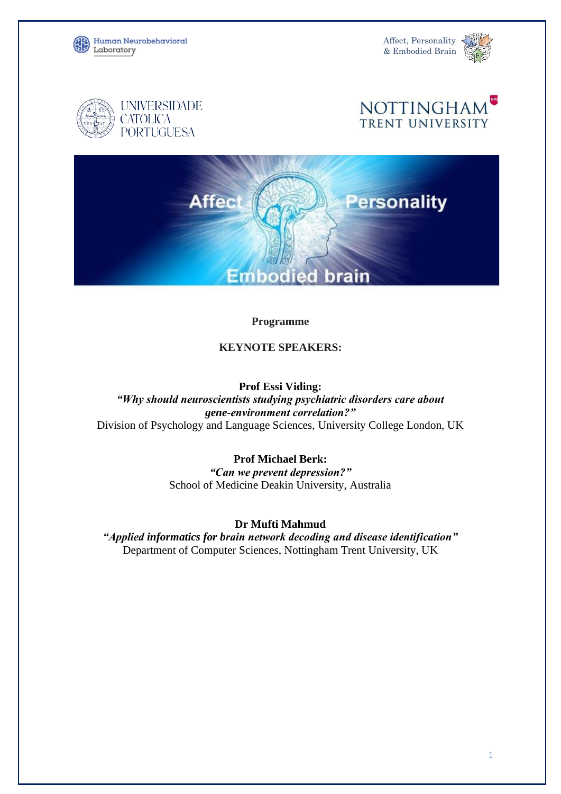



# NOTTINGHA TRENT UNIVERSITY



# **Programme**

# **KEYNOTE SPEAKERS:**

**Prof Essi Viding:** *"Why should neuroscientists studying psychiatric disorders care about gene-environment correlation?"* Division of Psychology and Language Sciences, University College London, UK

> **Prof Michael Berk:** *"Can we prevent depression?"* School of Medicine Deakin University, Australia

**Dr Mufti Mahmud**  *"Applied informatics for brain network decoding and disease identification"* Department of Computer Sciences, Nottingham Trent University, UK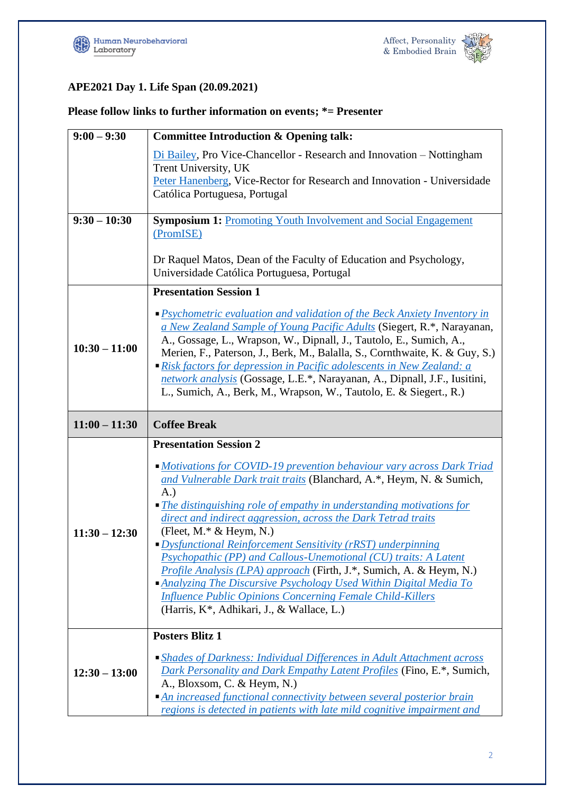





# **APE2021 Day 1. Life Span (20.09.2021)**

# **Please follow links to further information on events; \*= Presenter**

| $9:00 - 9:30$   | <b>Committee Introduction &amp; Opening talk:</b>                                                                                                                                                                                                                                                                                                                                                                                                                                                                                                                                                                                                                                                                                                               |
|-----------------|-----------------------------------------------------------------------------------------------------------------------------------------------------------------------------------------------------------------------------------------------------------------------------------------------------------------------------------------------------------------------------------------------------------------------------------------------------------------------------------------------------------------------------------------------------------------------------------------------------------------------------------------------------------------------------------------------------------------------------------------------------------------|
|                 | Di Bailey, Pro Vice-Chancellor - Research and Innovation – Nottingham<br>Trent University, UK<br>Peter Hanenberg, Vice-Rector for Research and Innovation - Universidade<br>Católica Portuguesa, Portugal                                                                                                                                                                                                                                                                                                                                                                                                                                                                                                                                                       |
| $9:30 - 10:30$  | <b>Symposium 1: Promoting Youth Involvement and Social Engagement</b><br>(PromISE)                                                                                                                                                                                                                                                                                                                                                                                                                                                                                                                                                                                                                                                                              |
|                 | Dr Raquel Matos, Dean of the Faculty of Education and Psychology,<br>Universidade Católica Portuguesa, Portugal                                                                                                                                                                                                                                                                                                                                                                                                                                                                                                                                                                                                                                                 |
|                 | <b>Presentation Session 1</b>                                                                                                                                                                                                                                                                                                                                                                                                                                                                                                                                                                                                                                                                                                                                   |
| $10:30 - 11:00$ | <b>• Psychometric evaluation and validation of the Beck Anxiety Inventory in</b><br>a New Zealand Sample of Young Pacific Adults (Siegert, R.*, Narayanan,<br>A., Gossage, L., Wrapson, W., Dipnall, J., Tautolo, E., Sumich, A.,<br>Merien, F., Paterson, J., Berk, M., Balalla, S., Cornthwaite, K. & Guy, S.)<br>Risk factors for depression in Pacific adolescents in New Zealand: a<br>network analysis (Gossage, L.E.*, Narayanan, A., Dipnall, J.F., Iusitini,<br>L., Sumich, A., Berk, M., Wrapson, W., Tautolo, E. & Siegert., R.)                                                                                                                                                                                                                     |
| $11:00 - 11:30$ | <b>Coffee Break</b>                                                                                                                                                                                                                                                                                                                                                                                                                                                                                                                                                                                                                                                                                                                                             |
|                 | <b>Presentation Session 2</b>                                                                                                                                                                                                                                                                                                                                                                                                                                                                                                                                                                                                                                                                                                                                   |
| $11:30 - 12:30$ | Motivations for COVID-19 prevention behaviour vary across Dark Triad<br>and Vulnerable Dark trait traits (Blanchard, A.*, Heym, N. & Sumich,<br>A.<br>• The distinguishing role of empathy in understanding motivations for<br>direct and indirect aggression, across the Dark Tetrad traits<br>(Fleet, $M.* & Heym, N.)$<br><b>Dysfunctional Reinforcement Sensitivity (rRST) underpinning</b><br><b>Psychopathic (PP) and Callous-Unemotional (CU) traits: A Latent</b><br><i>Profile Analysis (LPA) approach (Firth, J.*, Sumich, A. &amp; Heym, N.)</i><br>• Analyzing The Discursive Psychology Used Within Digital Media To<br><b>Influence Public Opinions Concerning Female Child-Killers</b><br>(Harris, K <sup>*</sup> , Adhikari, J., & Wallace, L.) |
|                 | <b>Posters Blitz 1</b>                                                                                                                                                                                                                                                                                                                                                                                                                                                                                                                                                                                                                                                                                                                                          |
| $12:30 - 13:00$ | • Shades of Darkness: Individual Differences in Adult Attachment across<br><b>Dark Personality and Dark Empathy Latent Profiles (Fino, E.*, Sumich,</b><br>A., Bloxsom, C. & Heym, N.)<br>An increased functional connectivity between several posterior brain<br>regions is detected in patients with late mild cognitive impairment and                                                                                                                                                                                                                                                                                                                                                                                                                       |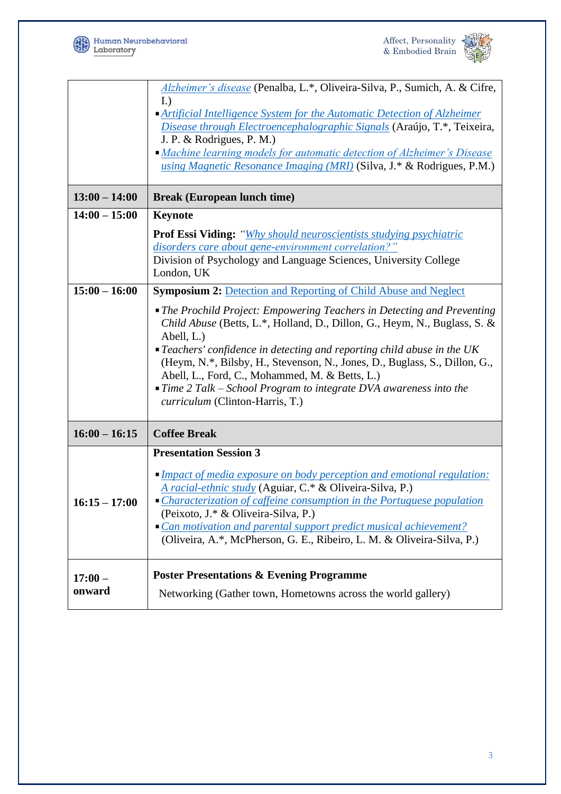





|                    | Alzheimer's disease (Penalba, L.*, Oliveira-Silva, P., Sumich, A. & Cifre,<br>I.)<br>Artificial Intelligence System for the Automatic Detection of Alzheimer<br>Disease through Electroencephalographic Signals (Araújo, T.*, Teixeira,<br>J. P. & Rodrigues, P. M.)<br>Machine learning models for automatic detection of Alzheimer's Disease<br><i>using Magnetic Resonance Imaging (MRI)</i> (Silva, J.* & Rodrigues, P.M.)                                                                                   |
|--------------------|------------------------------------------------------------------------------------------------------------------------------------------------------------------------------------------------------------------------------------------------------------------------------------------------------------------------------------------------------------------------------------------------------------------------------------------------------------------------------------------------------------------|
| $13:00 - 14:00$    | <b>Break (European lunch time)</b>                                                                                                                                                                                                                                                                                                                                                                                                                                                                               |
| $14:00 - 15:00$    | Keynote                                                                                                                                                                                                                                                                                                                                                                                                                                                                                                          |
|                    | <b>Prof Essi Viding:</b> "Why should neuroscientists studying psychiatric<br>disorders care about gene-environment correlation?"<br>Division of Psychology and Language Sciences, University College<br>London, UK                                                                                                                                                                                                                                                                                               |
| $15:00 - 16:00$    | Symposium 2: Detection and Reporting of Child Abuse and Neglect                                                                                                                                                                                                                                                                                                                                                                                                                                                  |
|                    | • The Prochild Project: Empowering Teachers in Detecting and Preventing<br>Child Abuse (Betts, L.*, Holland, D., Dillon, G., Heym, N., Buglass, S. &<br>Abell, L.)<br>$\blacksquare$ Teachers' confidence in detecting and reporting child abuse in the UK<br>(Heym, N.*, Bilsby, H., Stevenson, N., Jones, D., Buglass, S., Dillon, G.,<br>Abell, L., Ford, C., Mohammed, M. & Betts, L.)<br>$\blacksquare$ Time 2 Talk – School Program to integrate DVA awareness into the<br>curriculum (Clinton-Harris, T.) |
| $16:00 - 16:15$    | <b>Coffee Break</b>                                                                                                                                                                                                                                                                                                                                                                                                                                                                                              |
| $16:15 - 17:00$    | <b>Presentation Session 3</b><br><i>Impact of media exposure on body perception and emotional regulation:</i><br>A racial-ethnic study (Aguiar, C.* & Oliveira-Silva, P.)<br>• Characterization of caffeine consumption in the Portuguese population<br>(Peixoto, J.* & Oliveira-Silva, P.)<br>Can motivation and parental support predict musical achievement?<br>(Oliveira, A.*, McPherson, G. E., Ribeiro, L. M. & Oliveira-Silva, P.)                                                                        |
| $17:00-$<br>onward | <b>Poster Presentations &amp; Evening Programme</b><br>Networking (Gather town, Hometowns across the world gallery)                                                                                                                                                                                                                                                                                                                                                                                              |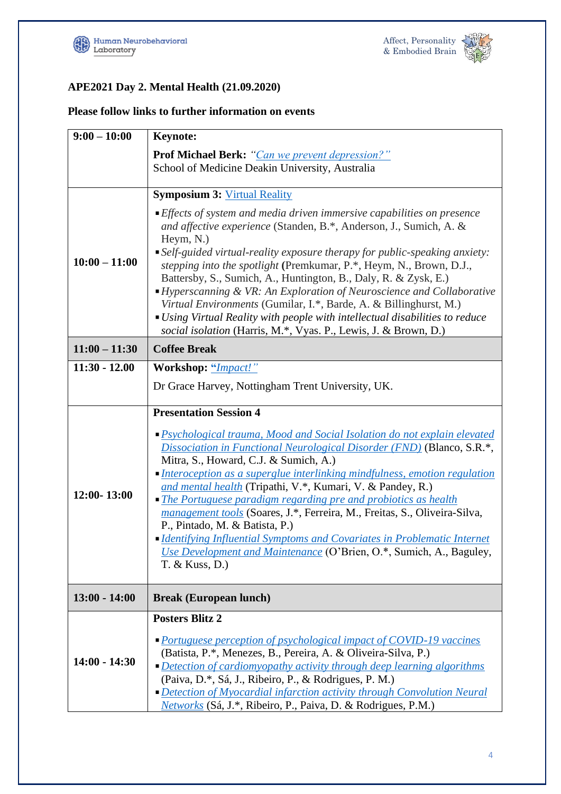





# **APE2021 Day 2. Mental Health (21.09.2020)**

# **Please follow links to further information on events**

| $9:00 - 10:00$  | <b>Keynote:</b>                                                                                                                                                                                                                                                                                                                                                                                                                                                                                                                                                                                                                                                                                                          |  |
|-----------------|--------------------------------------------------------------------------------------------------------------------------------------------------------------------------------------------------------------------------------------------------------------------------------------------------------------------------------------------------------------------------------------------------------------------------------------------------------------------------------------------------------------------------------------------------------------------------------------------------------------------------------------------------------------------------------------------------------------------------|--|
|                 | <b>Prof Michael Berk:</b> "Can we prevent depression?"<br>School of Medicine Deakin University, Australia                                                                                                                                                                                                                                                                                                                                                                                                                                                                                                                                                                                                                |  |
|                 | <b>Symposium 3: Virtual Reality</b>                                                                                                                                                                                                                                                                                                                                                                                                                                                                                                                                                                                                                                                                                      |  |
| $10:00 - 11:00$ | Effects of system and media driven immersive capabilities on presence<br>and affective experience (Standen, B.*, Anderson, J., Sumich, A. &<br>Heym, N.<br>• Self-guided virtual-reality exposure therapy for public-speaking anxiety:<br>stepping into the spotlight (Premkumar, P.*, Heym, N., Brown, D.J.,<br>Battersby, S., Sumich, A., Huntington, B., Daly, R. & Zysk, E.)<br>$\blacksquare$ Hyperscanning & VR: An Exploration of Neuroscience and Collaborative<br>Virtual Environments (Gumilar, I.*, Barde, A. & Billinghurst, M.)<br>• Using Virtual Reality with people with intellectual disabilities to reduce<br>social isolation (Harris, M.*, Vyas. P., Lewis, J. & Brown, D.)                          |  |
| $11:00 - 11:30$ | <b>Coffee Break</b>                                                                                                                                                                                                                                                                                                                                                                                                                                                                                                                                                                                                                                                                                                      |  |
| $11:30 - 12.00$ | Workshop: "Impact!"                                                                                                                                                                                                                                                                                                                                                                                                                                                                                                                                                                                                                                                                                                      |  |
|                 | Dr Grace Harvey, Nottingham Trent University, UK.                                                                                                                                                                                                                                                                                                                                                                                                                                                                                                                                                                                                                                                                        |  |
|                 | <b>Presentation Session 4</b>                                                                                                                                                                                                                                                                                                                                                                                                                                                                                                                                                                                                                                                                                            |  |
| 12:00-13:00     | Psychological trauma, Mood and Social Isolation do not explain elevated<br><i>Dissociation in Functional Neurological Disorder (FND)</i> (Blanco, S.R.*,<br>Mitra, S., Howard, C.J. & Sumich, A.)<br><i>Interoception as a superglue interlinking mindfulness, emotion regulation</i><br>and mental health (Tripathi, V.*, Kumari, V. & Pandey, R.)<br>• The Portuguese paradigm regarding pre and probiotics as health<br>management tools (Soares, J.*, Ferreira, M., Freitas, S., Oliveira-Silva,<br>P., Pintado, M. & Batista, P.)<br><i><b>Identifying Influential Symptoms and Covariates in Problematic Internet</b></i><br>Use Development and Maintenance (O'Brien, O.*, Sumich, A., Baguley,<br>T. & Kuss, D.) |  |
| $13:00 - 14:00$ | <b>Break (European lunch)</b>                                                                                                                                                                                                                                                                                                                                                                                                                                                                                                                                                                                                                                                                                            |  |
| $14:00 - 14:30$ | <b>Posters Blitz 2</b><br><b>Portuguese perception of psychological impact of COVID-19 vaccines</b><br>(Batista, P.*, Menezes, B., Pereira, A. & Oliveira-Silva, P.)<br>• Detection of cardiomyopathy activity through deep learning algorithms<br>(Paiva, D.*, Sá, J., Ribeiro, P., & Rodrigues, P. M.)<br><b>• Detection of Myocardial infarction activity through Convolution Neural</b><br><i>Networks</i> (Sá, J.*, Ribeiro, P., Paiva, D. & Rodrigues, P.M.)                                                                                                                                                                                                                                                       |  |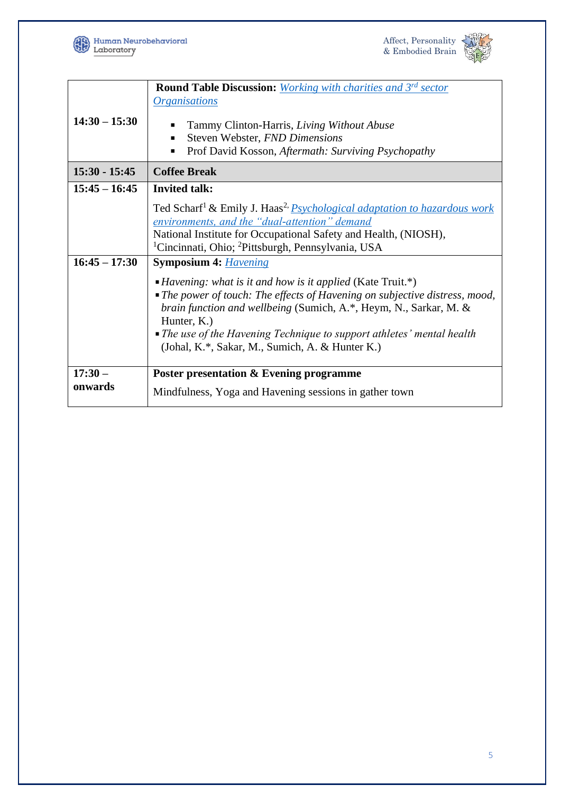



| $14:30 - 15:30$ | <b>Round Table Discussion:</b> Working with charities and 3 <sup>rd</sup> sector<br><i><u><b>Organisations</b></u></i><br>Tammy Clinton-Harris, Living Without Abuse<br>Steven Webster, FND Dimensions<br>Prof David Kosson, Aftermath: Surviving Psychopathy<br>$\blacksquare$                                                                                                 |
|-----------------|---------------------------------------------------------------------------------------------------------------------------------------------------------------------------------------------------------------------------------------------------------------------------------------------------------------------------------------------------------------------------------|
| $15:30 - 15:45$ | <b>Coffee Break</b>                                                                                                                                                                                                                                                                                                                                                             |
| $15:45 - 16:45$ | <b>Invited talk:</b>                                                                                                                                                                                                                                                                                                                                                            |
|                 | Ted Scharf <sup>1</sup> & Emily J. Haas <sup>2,</sup> <i>Psychological adaptation to hazardous work</i><br>environments, and the "dual-attention" demand<br>National Institute for Occupational Safety and Health, (NIOSH),<br><sup>1</sup> Cincinnati, Ohio; <sup>2</sup> Pittsburgh, Pennsylvania, USA                                                                        |
| $16:45 - 17:30$ | <b>Symposium 4: Havening</b>                                                                                                                                                                                                                                                                                                                                                    |
|                 | $\blacksquare$ Havening: what is it and how is it applied (Kate Truit.*)<br>• The power of touch: The effects of Havening on subjective distress, mood,<br><i>brain function and wellbeing</i> (Sumich, A.*, Heym, N., Sarkar, M. &<br>Hunter, K.)<br>• The use of the Havening Technique to support athletes' mental health<br>(Johal, K.*, Sakar, M., Sumich, A. & Hunter K.) |
| $17:30-$        | Poster presentation & Evening programme                                                                                                                                                                                                                                                                                                                                         |
| onwards         | Mindfulness, Yoga and Havening sessions in gather town                                                                                                                                                                                                                                                                                                                          |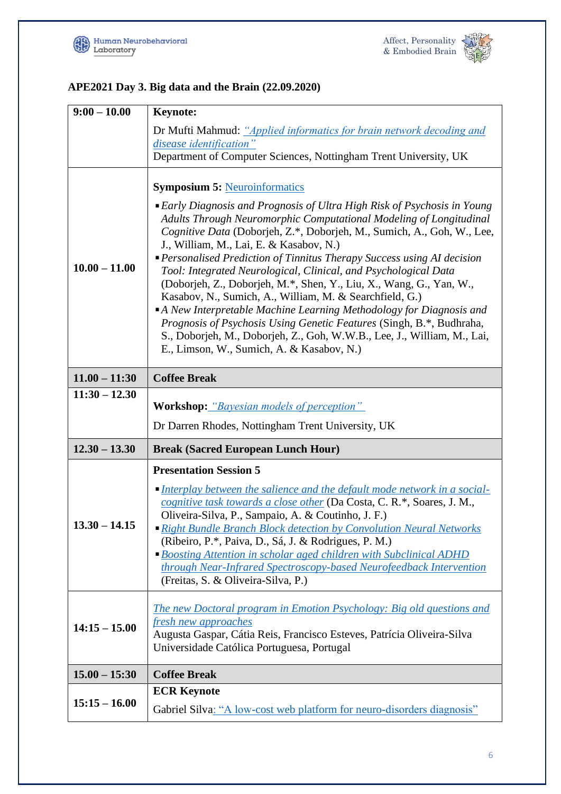



# **APE2021 Day 3. Big data and the Brain (22.09.2020)**

| $9:00 - 10.00$      | <b>Keynote:</b>                                                                                                                                                                                                                                                                                                                                                                                                                                                                                                                                      |
|---------------------|------------------------------------------------------------------------------------------------------------------------------------------------------------------------------------------------------------------------------------------------------------------------------------------------------------------------------------------------------------------------------------------------------------------------------------------------------------------------------------------------------------------------------------------------------|
|                     | Dr Mufti Mahmud: "Applied informatics for brain network decoding and<br>disease identification"<br>Department of Computer Sciences, Nottingham Trent University, UK                                                                                                                                                                                                                                                                                                                                                                                  |
|                     | <b>Symposium 5: Neuroinformatics</b><br>• Early Diagnosis and Prognosis of Ultra High Risk of Psychosis in Young<br>Adults Through Neuromorphic Computational Modeling of Longitudinal<br>Cognitive Data (Doborjeh, Z.*, Doborjeh, M., Sumich, A., Goh, W., Lee,<br>J., William, M., Lai, E. & Kasabov, N.)                                                                                                                                                                                                                                          |
| $10.00 - 11.00$     | • Personalised Prediction of Tinnitus Therapy Success using AI decision<br>Tool: Integrated Neurological, Clinical, and Psychological Data<br>(Doborjeh, Z., Doborjeh, M.*, Shen, Y., Liu, X., Wang, G., Yan, W.,<br>Kasabov, N., Sumich, A., William, M. & Searchfield, G.)<br>• A New Interpretable Machine Learning Methodology for Diagnosis and<br>Prognosis of Psychosis Using Genetic Features (Singh, B.*, Budhraha,<br>S., Doborjeh, M., Doborjeh, Z., Goh, W.W.B., Lee, J., William, M., Lai,<br>E., Limson, W., Sumich, A. & Kasabov, N.) |
| $11.00 - 11:30$     | <b>Coffee Break</b>                                                                                                                                                                                                                                                                                                                                                                                                                                                                                                                                  |
| $11:30 - 12.30$     | <b>Workshop:</b> "Bayesian models of perception"                                                                                                                                                                                                                                                                                                                                                                                                                                                                                                     |
|                     | Dr Darren Rhodes, Nottingham Trent University, UK                                                                                                                                                                                                                                                                                                                                                                                                                                                                                                    |
| $12.30 - 13.30$     | <b>Break (Sacred European Lunch Hour)</b>                                                                                                                                                                                                                                                                                                                                                                                                                                                                                                            |
|                     | <b>Presentation Session 5</b>                                                                                                                                                                                                                                                                                                                                                                                                                                                                                                                        |
| $13.30 \,$<br>14.15 |                                                                                                                                                                                                                                                                                                                                                                                                                                                                                                                                                      |
|                     | <b>Interplay between the salience and the default mode network in a social-</b><br>cognitive task towards a close other (Da Costa, C. R.*, Soares, J. M.,<br>Oliveira-Silva, P., Sampaio, A. & Coutinho, J. F.)<br>Right Bundle Branch Block detection by Convolution Neural Networks<br>(Ribeiro, P.*, Paiva, D., Sá, J. & Rodrigues, P. M.)<br><b>Boosting Attention in scholar aged children with Subclinical ADHD</b><br>through Near-Infrared Spectroscopy-based Neurofeedback Intervention<br>(Freitas, S. & Oliveira-Silva, P.)               |
| $14:15 - 15.00$     | <b>The new Doctoral program in Emotion Psychology: Big old questions and</b><br>fresh new approaches<br>Augusta Gaspar, Cátia Reis, Francisco Esteves, Patrícia Oliveira-Silva<br>Universidade Católica Portuguesa, Portugal                                                                                                                                                                                                                                                                                                                         |
| $15.00 - 15:30$     | <b>Coffee Break</b>                                                                                                                                                                                                                                                                                                                                                                                                                                                                                                                                  |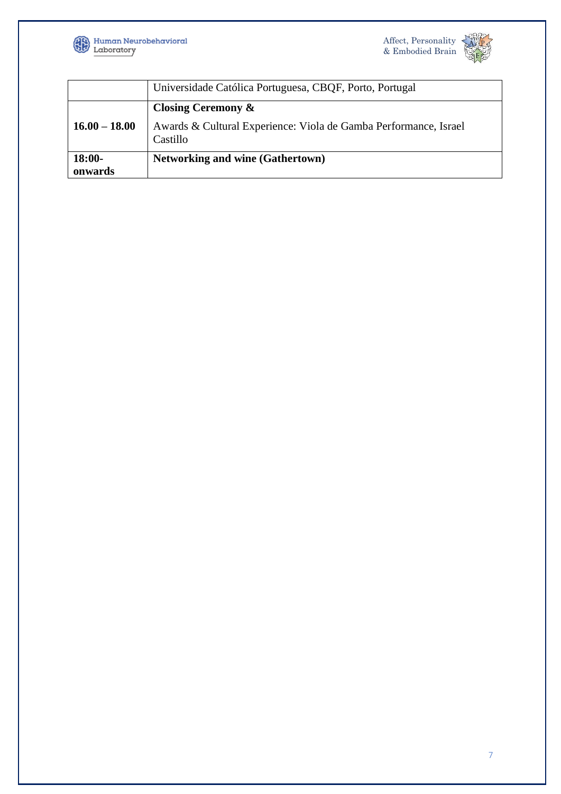



|                 | Universidade Católica Portuguesa, CBQF, Porto, Portugal                      |
|-----------------|------------------------------------------------------------------------------|
|                 | <b>Closing Ceremony &amp;</b>                                                |
| $16.00 - 18.00$ | Awards & Cultural Experience: Viola de Gamba Performance, Israel<br>Castillo |
| $18:00-$        | <b>Networking and wine (Gathertown)</b>                                      |
| onwards         |                                                                              |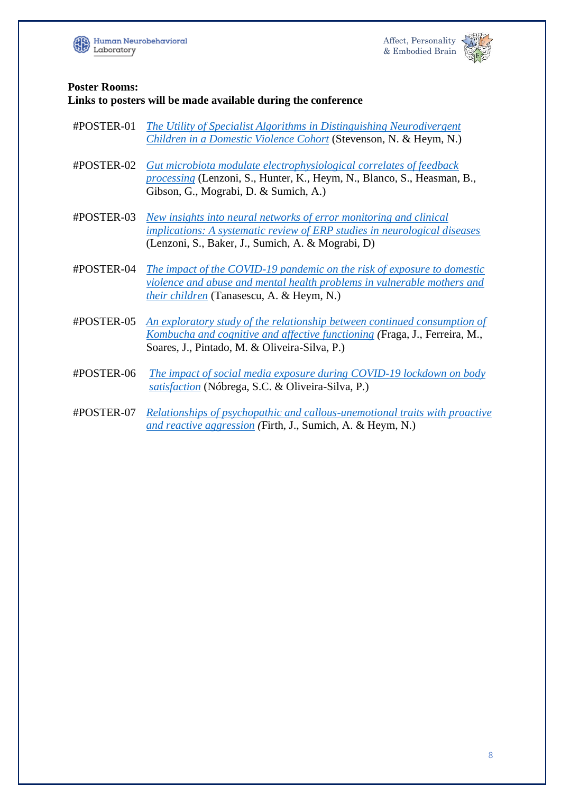





#### **Poster Rooms: Links to posters will be made available during the conference**

- #POSTER-01 *[The Utility of Specialist Algorithms in Distinguishing Neurodivergent](#page-43-0)  [Children in a Domestic Violence Cohort](#page-43-0)* (Stevenson, N. & Heym, N.)
- #POSTER-02 *[Gut microbiota modulate electrophysiological correlates of feedback](#page-43-1)  [processing](#page-43-1)* (Lenzoni, S., Hunter, K., Heym, N., Blanco, S., Heasman, B., Gibson, G., Mograbi, D. & Sumich, A.)
- #POSTER-03 *[New insights into neural networks of error monitoring and clinical](#page-44-0)  [implications: A systematic review of ERP studies in neurological diseases](#page-44-0)* (Lenzoni, S., Baker, J., Sumich, A. & Mograbi, D)
- #POSTER-04 *[The impact of the COVID-19 pandemic on the risk of exposure to domestic](#page-45-0)  [violence and abuse and mental health problems in vulnerable mothers and](#page-45-0)  [their children](#page-45-0)* (Tanasescu, A. & Heym, N.)
- #POSTER-05 *[An exploratory study of the relationship between continued consumption of](#page-45-1)  [Kombucha and cognitive and affective functioning](#page-45-1) (*Fraga, J., Ferreira, M., Soares, J., Pintado, M. & Oliveira-Silva, P.)
- #POSTER-06 *[The impact of social media exposure during COVID-19 lockdown on body](#page-46-0)  [satisfaction](#page-46-0)* (Nóbrega, S.C. & Oliveira-Silva, P*.*)
- #POSTER-07 *[Relationships of psychopathic and callous-unemotional traits with proactive](#page-46-1)  [and reactive aggression](#page-46-1) (*Firth, J., Sumich, A. & Heym, N.)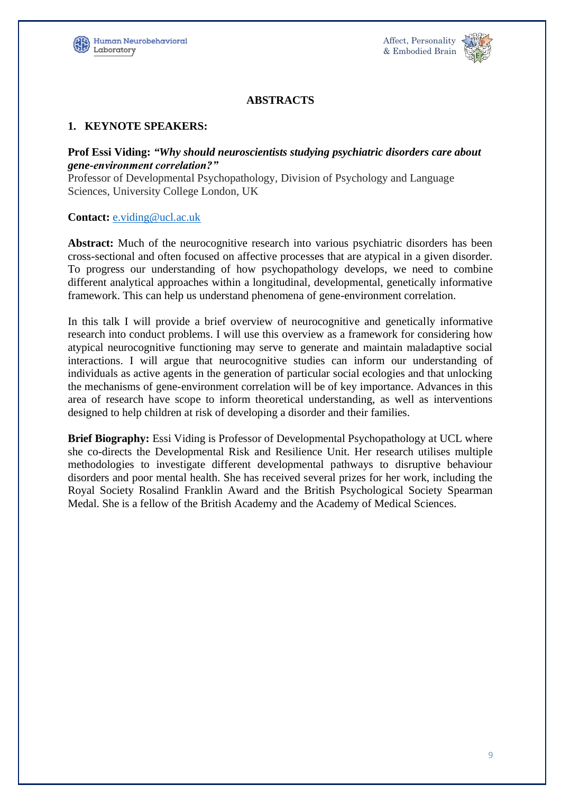

# **ABSTRACTS**

### **1. KEYNOTE SPEAKERS:**

### <span id="page-8-0"></span>**Prof Essi Viding:** *"Why should neuroscientists studying psychiatric disorders care about gene-environment correlation?"*

Professor of Developmental Psychopathology, Division of Psychology and Language Sciences, University College London, UK

#### **Contact:** [e.viding@ucl.ac.uk](about:blank)

**Abstract:** Much of the neurocognitive research into various psychiatric disorders has been cross-sectional and often focused on affective processes that are atypical in a given disorder. To progress our understanding of how psychopathology develops, we need to combine different analytical approaches within a longitudinal, developmental, genetically informative framework. This can help us understand phenomena of gene-environment correlation.

In this talk I will provide a brief overview of neurocognitive and genetically informative research into conduct problems. I will use this overview as a framework for considering how atypical neurocognitive functioning may serve to generate and maintain maladaptive social interactions. I will argue that neurocognitive studies can inform our understanding of individuals as active agents in the generation of particular social ecologies and that unlocking the mechanisms of gene-environment correlation will be of key importance. Advances in this area of research have scope to inform theoretical understanding, as well as interventions designed to help children at risk of developing a disorder and their families.

**Brief Biography:** Essi Viding is Professor of Developmental Psychopathology at UCL where she co-directs the Developmental Risk and Resilience Unit. Her research utilises multiple methodologies to investigate different developmental pathways to disruptive behaviour disorders and poor mental health. She has received several prizes for her work, including the Royal Society Rosalind Franklin Award and the British Psychological Society Spearman Medal. She is a fellow of the British Academy and the Academy of Medical Sciences.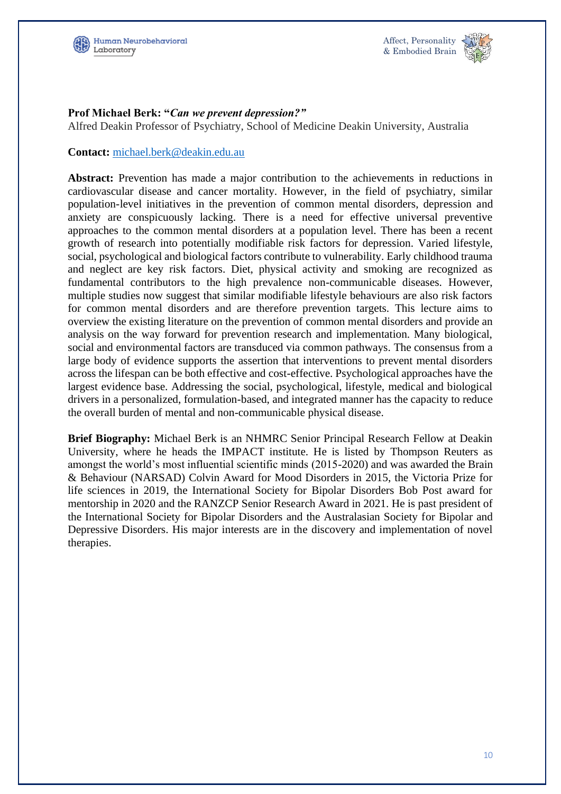



# <span id="page-9-0"></span>**Prof Michael Berk: "***Can we prevent depression?"*

Alfred Deakin Professor of Psychiatry, School of Medicine Deakin University, Australia

#### **Contact:** [michael.berk@deakin.edu.au](about:blank)

**Abstract:** Prevention has made a major contribution to the achievements in reductions in cardiovascular disease and cancer mortality. However, in the field of psychiatry, similar population-level initiatives in the prevention of common mental disorders, depression and anxiety are conspicuously lacking. There is a need for effective universal preventive approaches to the common mental disorders at a population level. There has been a recent growth of research into potentially modifiable risk factors for depression. Varied lifestyle, social, psychological and biological factors contribute to vulnerability. Early childhood trauma and neglect are key risk factors. Diet, physical activity and smoking are recognized as fundamental contributors to the high prevalence non-communicable diseases. However, multiple studies now suggest that similar modifiable lifestyle behaviours are also risk factors for common mental disorders and are therefore prevention targets. This lecture aims to overview the existing literature on the prevention of common mental disorders and provide an analysis on the way forward for prevention research and implementation. Many biological, social and environmental factors are transduced via common pathways. The consensus from a large body of evidence supports the assertion that interventions to prevent mental disorders across the lifespan can be both effective and cost-effective. Psychological approaches have the largest evidence base. Addressing the social, psychological, lifestyle, medical and biological drivers in a personalized, formulation-based, and integrated manner has the capacity to reduce the overall burden of mental and non-communicable physical disease.

**Brief Biography:** Michael Berk is an NHMRC Senior Principal Research Fellow at Deakin University, where he heads the IMPACT institute. He is listed by Thompson Reuters as amongst the world's most influential scientific minds (2015-2020) and was awarded the Brain & Behaviour (NARSAD) Colvin Award for Mood Disorders in 2015, the Victoria Prize for life sciences in 2019, the International Society for Bipolar Disorders Bob Post award for mentorship in 2020 and the RANZCP Senior Research Award in 2021. He is past president of the International Society for Bipolar Disorders and the Australasian Society for Bipolar and Depressive Disorders. His major interests are in the discovery and implementation of novel therapies.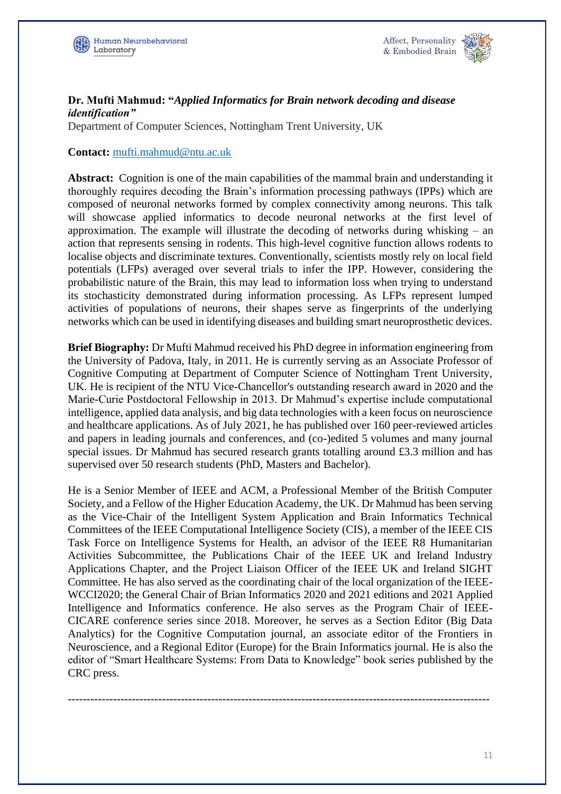



# <span id="page-10-0"></span>**Dr. Mufti Mahmud: "***Applied Informatics for Brain network decoding and disease identification"*

Department of Computer Sciences, Nottingham Trent University, UK

# **Contact:** [mufti.mahmud@ntu.ac.uk](about:blank)

**Abstract:** Cognition is one of the main capabilities of the mammal brain and understanding it thoroughly requires decoding the Brain's information processing pathways (IPPs) which are composed of neuronal networks formed by complex connectivity among neurons. This talk will showcase applied informatics to decode neuronal networks at the first level of approximation. The example will illustrate the decoding of networks during whisking – an action that represents sensing in rodents. This high-level cognitive function allows rodents to localise objects and discriminate textures. Conventionally, scientists mostly rely on local field potentials (LFPs) averaged over several trials to infer the IPP. However, considering the probabilistic nature of the Brain, this may lead to information loss when trying to understand its stochasticity demonstrated during information processing. As LFPs represent lumped activities of populations of neurons, their shapes serve as fingerprints of the underlying networks which can be used in identifying diseases and building smart neuroprosthetic devices.

**Brief Biography:** Dr Mufti Mahmud received his PhD degree in information engineering from the University of Padova, Italy, in 2011. He is currently serving as an Associate Professor of Cognitive Computing at Department of Computer Science of Nottingham Trent University, UK. He is recipient of the NTU Vice-Chancellor's outstanding research award in 2020 and the Marie-Curie Postdoctoral Fellowship in 2013. Dr Mahmud's expertise include computational intelligence, applied data analysis, and big data technologies with a keen focus on neuroscience and healthcare applications. As of July 2021, he has published over 160 peer-reviewed articles and papers in leading journals and conferences, and (co-)edited 5 volumes and many journal special issues. Dr Mahmud has secured research grants totalling around £3.3 million and has supervised over 50 research students (PhD, Masters and Bachelor).

He is a Senior Member of IEEE and ACM, a Professional Member of the British Computer Society, and a Fellow of the Higher Education Academy, the UK. Dr Mahmud has been serving as the Vice-Chair of the Intelligent System Application and Brain Informatics Technical Committees of the IEEE Computational Intelligence Society (CIS), a member of the IEEE CIS Task Force on Intelligence Systems for Health, an advisor of the IEEE R8 Humanitarian Activities Subcommittee, the Publications Chair of the IEEE UK and Ireland Industry Applications Chapter, and the Project Liaison Officer of the IEEE UK and Ireland SIGHT Committee. He has also served as the coordinating chair of the local organization of the IEEE-WCCI2020; the General Chair of Brian Informatics 2020 and 2021 editions and 2021 Applied Intelligence and Informatics conference. He also serves as the Program Chair of IEEE-CICARE conference series since 2018. Moreover, he serves as a Section Editor (Big Data Analytics) for the Cognitive Computation journal, an associate editor of the Frontiers in Neuroscience, and a Regional Editor (Europe) for the Brain Informatics journal. He is also the editor of "Smart Healthcare Systems: From Data to Knowledge" book series published by the CRC press.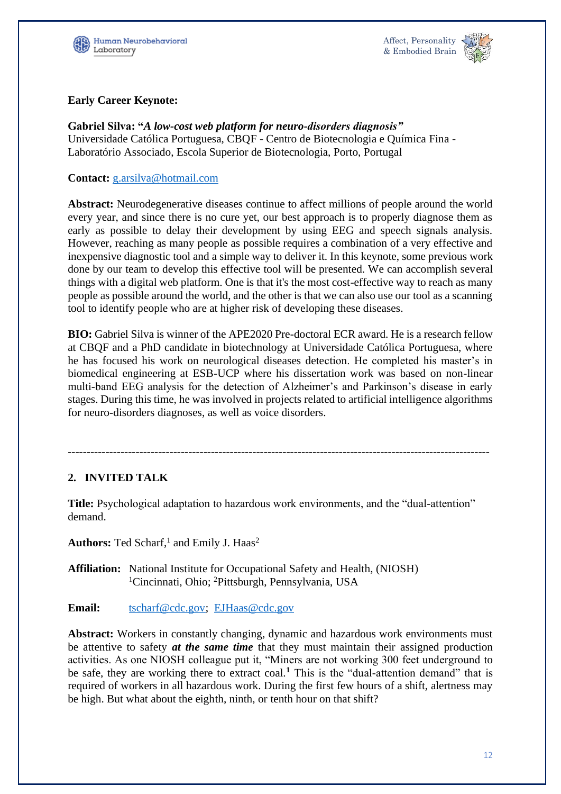



# <span id="page-11-0"></span>**Early Career Keynote:**

**Gabriel Silva: "***A low-cost web platform for neuro-disorders diagnosis"* Universidade Católica Portuguesa, CBQF - Centro de Biotecnologia e Química Fina - Laboratório Associado, Escola Superior de Biotecnologia, Porto, Portugal

# **Contact:** [g.arsilva@hotmail.com](about:blank)

**Abstract:** Neurodegenerative diseases continue to affect millions of people around the world every year, and since there is no cure yet, our best approach is to properly diagnose them as early as possible to delay their development by using EEG and speech signals analysis. However, reaching as many people as possible requires a combination of a very effective and inexpensive diagnostic tool and a simple way to deliver it. In this keynote, some previous work done by our team to develop this effective tool will be presented. We can accomplish several things with a digital web platform. One is that it's the most cost-effective way to reach as many people as possible around the world, and the other is that we can also use our tool as a scanning tool to identify people who are at higher risk of developing these diseases.

**BIO:** Gabriel Silva is winner of the APE2020 Pre-doctoral ECR award. He is a research fellow at CBQF and a PhD candidate in biotechnology at Universidade Católica Portuguesa, where he has focused his work on neurological diseases detection. He completed his master's in biomedical engineering at ESB-UCP where his dissertation work was based on non-linear multi-band EEG analysis for the detection of Alzheimer's and Parkinson's disease in early stages. During this time, he was involved in projects related to artificial intelligence algorithms for neuro-disorders diagnoses, as well as voice disorders.

# <span id="page-11-1"></span>**2. INVITED TALK**

**Title:** Psychological adaptation to hazardous work environments, and the "dual-attention" demand.

----------------------------------------------------------------------------------------------------------------

Authors: Ted Scharf,<sup>1</sup> and Emily J. Haas<sup>2</sup>

**Affiliation:** National Institute for Occupational Safety and Health, (NIOSH) <sup>1</sup>Cincinnati, Ohio; <sup>2</sup>Pittsburgh, Pennsylvania, USA

**Email:** [tscharf@cdc.gov;](about:blank) [EJHaas@cdc.gov](about:blank)

**Abstract:** Workers in constantly changing, dynamic and hazardous work environments must be attentive to safety *at the same time* that they must maintain their assigned production activities. As one NIOSH colleague put it, "Miners are not working 300 feet underground to be safe, they are working there to extract coal.**<sup>1</sup>** This is the "dual-attention demand" that is required of workers in all hazardous work. During the first few hours of a shift, alertness may be high. But what about the eighth, ninth, or tenth hour on that shift?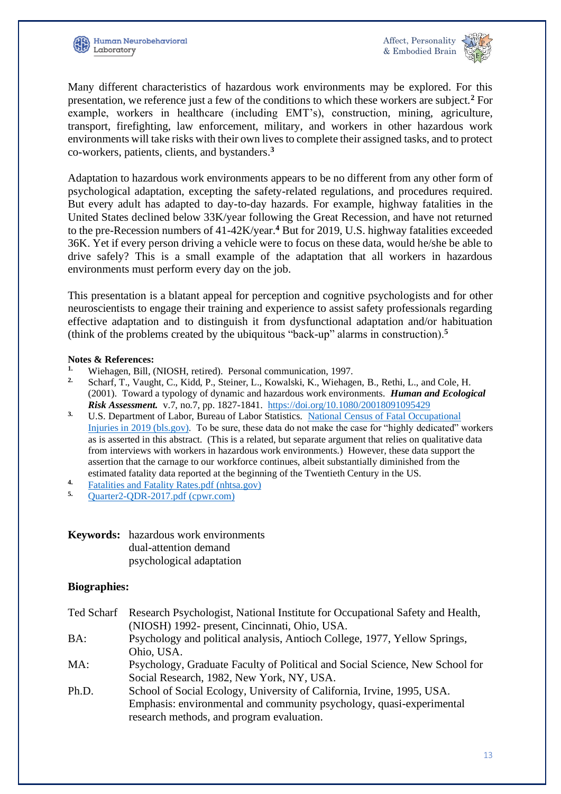

Many different characteristics of hazardous work environments may be explored. For this presentation, we reference just a few of the conditions to which these workers are subject.**<sup>2</sup>** For example, workers in healthcare (including EMT's), construction, mining, agriculture, transport, firefighting, law enforcement, military, and workers in other hazardous work environments will take risks with their own lives to complete their assigned tasks, and to protect co-workers, patients, clients, and bystanders. **3**

Adaptation to hazardous work environments appears to be no different from any other form of psychological adaptation, excepting the safety-related regulations, and procedures required. But every adult has adapted to day-to-day hazards. For example, highway fatalities in the United States declined below 33K/year following the Great Recession, and have not returned to the pre-Recession numbers of 41-42K/year.**<sup>4</sup>** But for 2019, U.S. highway fatalities exceeded 36K. Yet if every person driving a vehicle were to focus on these data, would he/she be able to drive safely? This is a small example of the adaptation that all workers in hazardous environments must perform every day on the job.

This presentation is a blatant appeal for perception and cognitive psychologists and for other neuroscientists to engage their training and experience to assist safety professionals regarding effective adaptation and to distinguish it from dysfunctional adaptation and/or habituation (think of the problems created by the ubiquitous "back-up" alarms in construction).**<sup>5</sup>**

#### **Notes & References:**

- <sup>1.</sup> Wiehagen, Bill, (NIOSH, retired). Personal communication, 1997.<br><sup>2.</sup> Scharf T. Vaught C. Kidd P. Steiner J. Kowalski K. Wiehage
- **2.** Scharf, T., Vaught, C., Kidd, P., Steiner, L., Kowalski, K., Wiehagen, B., Rethi, L., and Cole, H. (2001). Toward a typology of dynamic and hazardous work environments. *Human and Ecological Risk Assessment.* v.7, no.7, pp. 1827-1841. [https://doi.org/10.1080/20018091095429](about:blank)
- <sup>3.</sup> U.S. Department of Labor, Bureau of Labor Statistics. National Census of Fatal Occupational [Injuries in 2019 \(bls.gov\).](about:blank) To be sure, these data do not make the case for "highly dedicated" workers as is asserted in this abstract. (This is a related, but separate argument that relies on qualitative data from interviews with workers in hazardous work environments.) However, these data support the assertion that the carnage to our workforce continues, albeit substantially diminished from the estimated fatality data reported at the beginning of the Twentieth Century in the US.
- <sup>4</sup>. [Fatalities and Fatality Rates.pdf \(nhtsa.gov\)](about:blank)
- **5.** [Quarter2-QDR-2017.pdf \(cpwr.com\)](about:blank)

| <b>Keywords:</b> hazardous work environments |
|----------------------------------------------|
| dual-attention demand                        |
| psychological adaptation                     |

#### **Biographies:**

| Ted Scharf | Research Psychologist, National Institute for Occupational Safety and Health,<br>(NIOSH) 1992- present, Cincinnati, Ohio, USA.                                                              |
|------------|---------------------------------------------------------------------------------------------------------------------------------------------------------------------------------------------|
| BA:        | Psychology and political analysis, Antioch College, 1977, Yellow Springs,<br>Ohio, USA.                                                                                                     |
| MA:        | Psychology, Graduate Faculty of Political and Social Science, New School for<br>Social Research, 1982, New York, NY, USA.                                                                   |
| Ph.D.      | School of Social Ecology, University of California, Irvine, 1995, USA.<br>Emphasis: environmental and community psychology, quasi-experimental<br>research methods, and program evaluation. |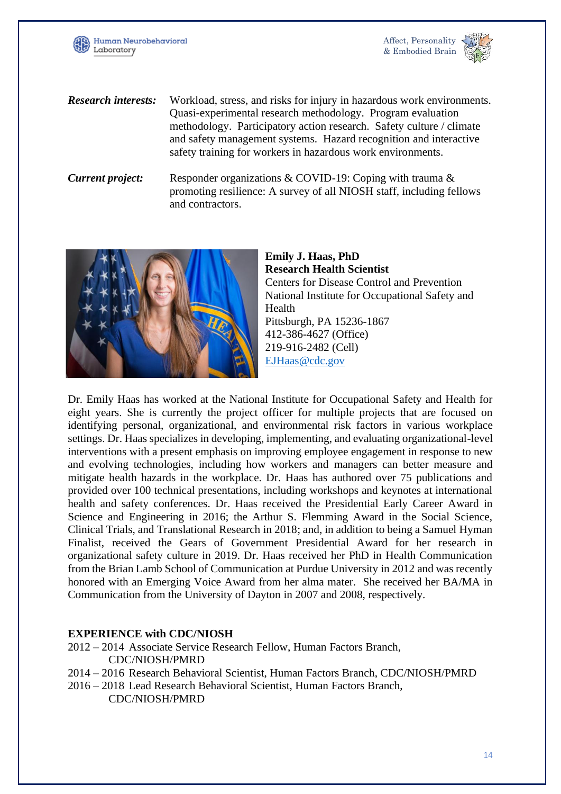



*Research interests:* Workload, stress, and risks for injury in hazardous work environments. Quasi-experimental research methodology. Program evaluation methodology. Participatory action research. Safety culture / climate and safety management systems. Hazard recognition and interactive safety training for workers in hazardous work environments.

*Current project:* Responder organizations & COVID-19: Coping with trauma & promoting resilience: A survey of all NIOSH staff, including fellows and contractors.



**Emily J. Haas, PhD Research Health Scientist** Centers for Disease Control and Prevention National Institute for Occupational Safety and Health Pittsburgh, PA 15236-1867 412-386-4627 (Office) 219-916-2482 (Cell) [EJHaas@cdc.gov](about:blank)

Dr. Emily Haas has worked at the National Institute for Occupational Safety and Health for eight years. She is currently the project officer for multiple projects that are focused on identifying personal, organizational, and environmental risk factors in various workplace settings. Dr. Haas specializes in developing, implementing, and evaluating organizational-level interventions with a present emphasis on improving employee engagement in response to new and evolving technologies, including how workers and managers can better measure and mitigate health hazards in the workplace. Dr. Haas has authored over 75 publications and provided over 100 technical presentations, including workshops and keynotes at international health and safety conferences. Dr. Haas received the Presidential Early Career Award in Science and Engineering in 2016; the Arthur S. Flemming Award in the Social Science, Clinical Trials, and Translational Research in 2018; and, in addition to being a Samuel Hyman Finalist, received the Gears of Government Presidential Award for her research in organizational safety culture in 2019. Dr. Haas received her PhD in Health Communication from the Brian Lamb School of Communication at Purdue University in 2012 and was recently honored with an Emerging Voice Award from her alma mater. She received her BA/MA in Communication from the University of Dayton in 2007 and 2008, respectively.

#### **EXPERIENCE with CDC/NIOSH**

2012 – 2014 Associate Service Research Fellow, Human Factors Branch,

- CDC/NIOSH/PMRD
- 2014 2016 Research Behavioral Scientist, Human Factors Branch, CDC/NIOSH/PMRD
- 2016 2018 Lead Research Behavioral Scientist, Human Factors Branch,
	- CDC/NIOSH/PMRD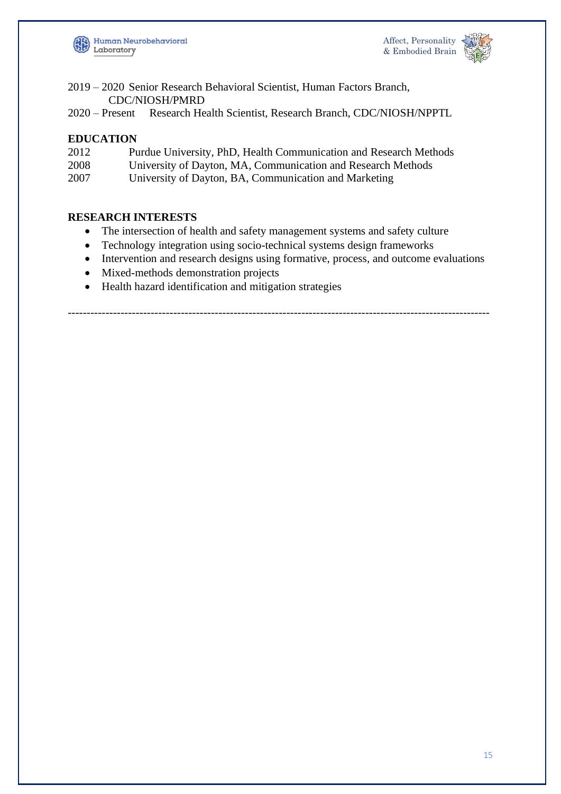



2019 – 2020 Senior Research Behavioral Scientist, Human Factors Branch, CDC/NIOSH/PMRD

2020 – Present Research Health Scientist, Research Branch, CDC/NIOSH/NPPTL

#### **EDUCATION**

- 2012 Purdue University, PhD, Health Communication and Research Methods
- 2008 University of Dayton, MA, Communication and Research Methods
- 2007 University of Dayton, BA, Communication and Marketing

### **RESEARCH INTERESTS**

- The intersection of health and safety management systems and safety culture
- Technology integration using socio-technical systems design frameworks
- Intervention and research designs using formative, process, and outcome evaluations

- Mixed-methods demonstration projects
- Health hazard identification and mitigation strategies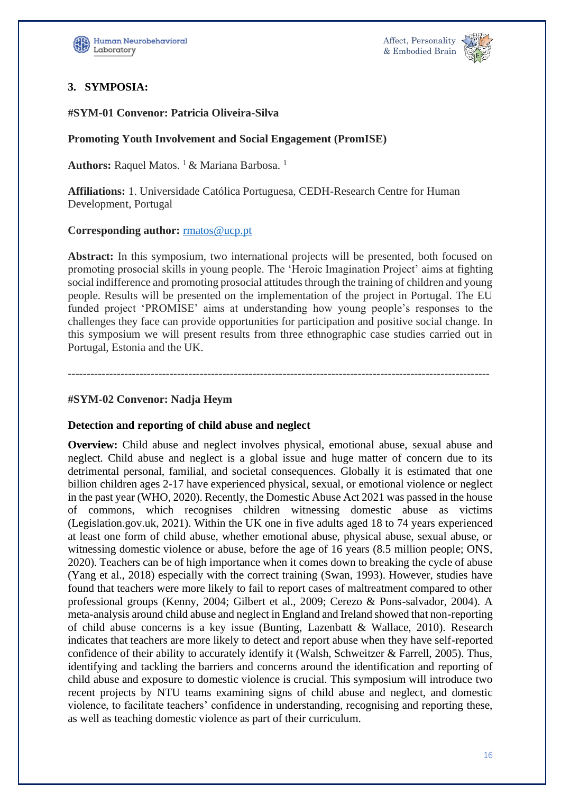

# **3. SYMPOSIA:**

# <span id="page-15-0"></span>**#SYM-01 Convenor: Patricia Oliveira-Silva**

### **Promoting Youth Involvement and Social Engagement (PromISE)**

Authors: Raquel Matos.<sup>1</sup> & Mariana Barbosa.<sup>1</sup>

**Affiliations:** 1. Universidade Católica Portuguesa, CEDH-Research Centre for Human Development, Portugal

#### **Corresponding author:** [rmatos@ucp.pt](about:blank)

**Abstract:** In this symposium, two international projects will be presented, both focused on promoting prosocial skills in young people. The 'Heroic Imagination Project' aims at fighting social indifference and promoting prosocial attitudes through the training of children and young people. Results will be presented on the implementation of the project in Portugal. The EU funded project 'PROMISE' aims at understanding how young people's responses to the challenges they face can provide opportunities for participation and positive social change. In this symposium we will present results from three ethnographic case studies carried out in Portugal, Estonia and the UK.

----------------------------------------------------------------------------------------------------------------

# <span id="page-15-1"></span>**#SYM-02 Convenor: Nadja Heym**

#### **Detection and reporting of child abuse and neglect**

**Overview:** Child abuse and neglect involves physical, emotional abuse, sexual abuse and neglect. Child abuse and neglect is a global issue and huge matter of concern due to its detrimental personal, familial, and societal consequences. Globally it is estimated that one billion children ages 2-17 have experienced physical, sexual, or emotional violence or neglect in the past year (WHO, 2020). Recently, the Domestic Abuse Act 2021 was passed in the house of commons, which recognises children witnessing domestic abuse as victims (Legislation.gov.uk, 2021). Within the UK one in five adults aged 18 to 74 years experienced at least one form of child abuse, whether emotional abuse, physical abuse, sexual abuse, or witnessing domestic violence or abuse, before the age of 16 years (8.5 million people; ONS, 2020). Teachers can be of high importance when it comes down to breaking the cycle of abuse (Yang et al., 2018) especially with the correct training (Swan, 1993). However, studies have found that teachers were more likely to fail to report cases of maltreatment compared to other professional groups (Kenny, 2004; Gilbert et al., 2009; Cerezo & Pons-salvador, 2004). A meta-analysis around child abuse and neglect in England and Ireland showed that non-reporting of child abuse concerns is a key issue (Bunting, Lazenbatt & Wallace, 2010). Research indicates that teachers are more likely to detect and report abuse when they have self-reported confidence of their ability to accurately identify it (Walsh, Schweitzer & Farrell, 2005). Thus, identifying and tackling the barriers and concerns around the identification and reporting of child abuse and exposure to domestic violence is crucial. This symposium will introduce two recent projects by NTU teams examining signs of child abuse and neglect, and domestic violence, to facilitate teachers' confidence in understanding, recognising and reporting these, as well as teaching domestic violence as part of their curriculum.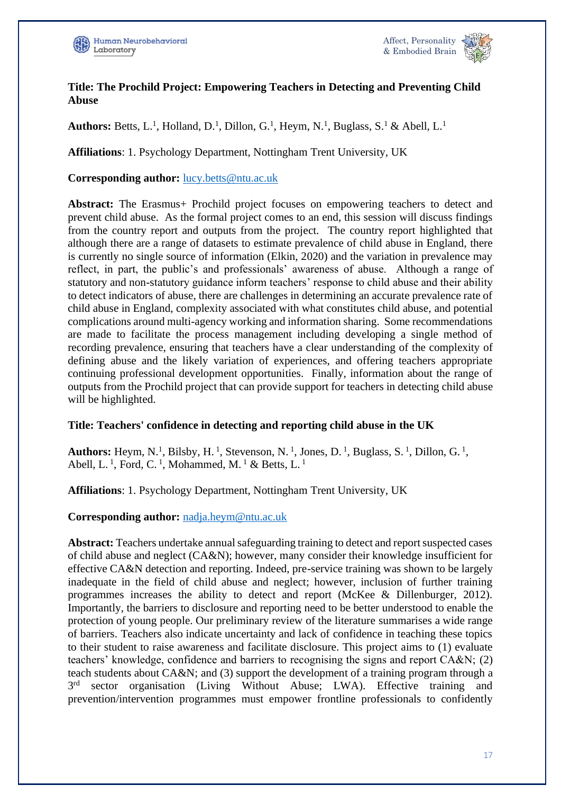



### **Title: The Prochild Project: Empowering Teachers in Detecting and Preventing Child Abuse**

**Authors:** Betts, L.<sup>1</sup>, Holland, D.<sup>1</sup>, Dillon, G.<sup>1</sup>, Heym, N.<sup>1</sup>, Buglass, S.<sup>1</sup> & Abell, L.<sup>1</sup>

**Affiliations**: 1. Psychology Department, Nottingham Trent University, UK

#### **Corresponding author:** [lucy.betts@ntu.ac.uk](about:blank)

**Abstract:** The Erasmus+ Prochild project focuses on empowering teachers to detect and prevent child abuse. As the formal project comes to an end, this session will discuss findings from the country report and outputs from the project. The country report highlighted that although there are a range of datasets to estimate prevalence of child abuse in England, there is currently no single source of information (Elkin, 2020) and the variation in prevalence may reflect, in part, the public's and professionals' awareness of abuse. Although a range of statutory and non-statutory guidance inform teachers' response to child abuse and their ability to detect indicators of abuse, there are challenges in determining an accurate prevalence rate of child abuse in England, complexity associated with what constitutes child abuse, and potential complications around multi-agency working and information sharing. Some recommendations are made to facilitate the process management including developing a single method of recording prevalence, ensuring that teachers have a clear understanding of the complexity of defining abuse and the likely variation of experiences, and offering teachers appropriate continuing professional development opportunities. Finally, information about the range of outputs from the Prochild project that can provide support for teachers in detecting child abuse will be highlighted.

#### **Title: Teachers' confidence in detecting and reporting child abuse in the UK**

Authors: Heym, N.<sup>1</sup>, Bilsby, H.<sup>1</sup>, Stevenson, N.<sup>1</sup>, Jones, D.<sup>1</sup>, Buglass, S.<sup>1</sup>, Dillon, G.<sup>1</sup>, Abell, L.<sup>1</sup>, Ford, C.<sup>1</sup>, Mohammed, M.<sup>1</sup> & Betts, L.<sup>1</sup>

#### **Affiliations**: 1. Psychology Department, Nottingham Trent University, UK

#### **Corresponding author:** [nadja.heym@ntu.ac.uk](about:blank)

**Abstract:** Teachers undertake annual safeguarding training to detect and report suspected cases of child abuse and neglect (CA&N); however, many consider their knowledge insufficient for effective CA&N detection and reporting. Indeed, pre-service training was shown to be largely inadequate in the field of child abuse and neglect; however, inclusion of further training programmes increases the ability to detect and report (McKee & Dillenburger, 2012). Importantly, the barriers to disclosure and reporting need to be better understood to enable the protection of young people. Our preliminary review of the literature summarises a wide range of barriers. Teachers also indicate uncertainty and lack of confidence in teaching these topics to their student to raise awareness and facilitate disclosure. This project aims to (1) evaluate teachers' knowledge, confidence and barriers to recognising the signs and report CA&N; (2) teach students about CA&N; and (3) support the development of a training program through a 3<sup>rd</sup> sector organisation (Living Without Abuse; LWA). Effective training and prevention/intervention programmes must empower frontline professionals to confidently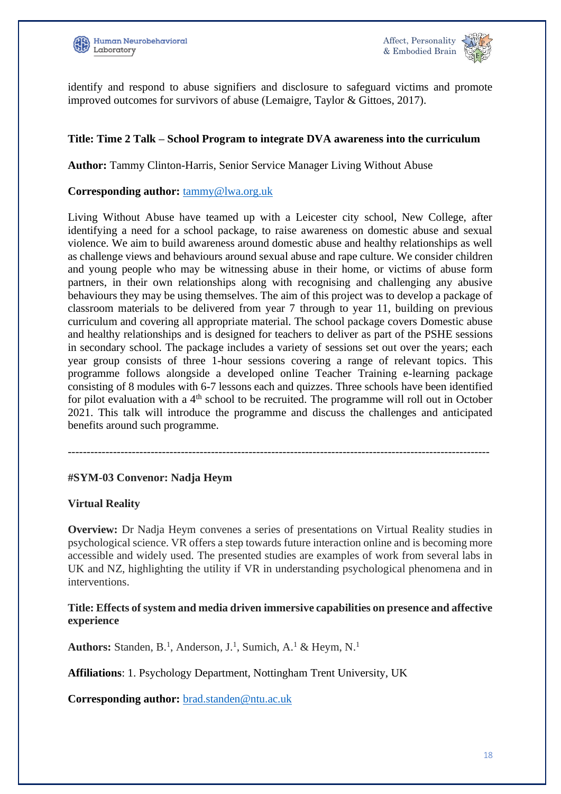



identify and respond to abuse signifiers and disclosure to safeguard victims and promote improved outcomes for survivors of abuse (Lemaigre, Taylor & Gittoes, 2017).

#### **Title: Time 2 Talk – School Program to integrate DVA awareness into the curriculum**

**Author:** Tammy Clinton-Harris, Senior Service Manager Living Without Abuse

#### **Corresponding author:** [tammy@lwa.org.uk](about:blank)

Living Without Abuse have teamed up with a Leicester city school, New College, after identifying a need for a school package, to raise awareness on domestic abuse and sexual violence. We aim to build awareness around domestic abuse and healthy relationships as well as challenge views and behaviours around sexual abuse and rape culture. We consider children and young people who may be witnessing abuse in their home, or victims of abuse form partners, in their own relationships along with recognising and challenging any abusive behaviours they may be using themselves. The aim of this project was to develop a package of classroom materials to be delivered from year 7 through to year 11, building on previous curriculum and covering all appropriate material. The school package covers Domestic abuse and healthy relationships and is designed for teachers to deliver as part of the PSHE sessions in secondary school. The package includes a variety of sessions set out over the years; each year group consists of three 1-hour sessions covering a range of relevant topics. This programme follows alongside a developed online Teacher Training e-learning package consisting of 8 modules with 6-7 lessons each and quizzes. Three schools have been identified for pilot evaluation with a  $4<sup>th</sup>$  school to be recruited. The programme will roll out in October 2021. This talk will introduce the programme and discuss the challenges and anticipated benefits around such programme.

#### <span id="page-17-0"></span>**#SYM-03 Convenor: Nadja Heym**

#### **Virtual Reality**

**Overview:** Dr Nadja Heym convenes a series of presentations on Virtual Reality studies in psychological science. VR offers a step towards future interaction online and is becoming more accessible and widely used. The presented studies are examples of work from several labs in UK and NZ, highlighting the utility if VR in understanding psychological phenomena and in interventions.

----------------------------------------------------------------------------------------------------------------

#### **Title: Effects of system and media driven immersive capabilities on presence and affective experience**

Authors: Standen, B.<sup>1</sup>, Anderson, J.<sup>1</sup>, Sumich, A.<sup>1</sup> & Heym, N.<sup>1</sup>

**Affiliations**: 1. Psychology Department, Nottingham Trent University, UK

**Corresponding author:** [brad.standen@ntu.ac.uk](about:blank)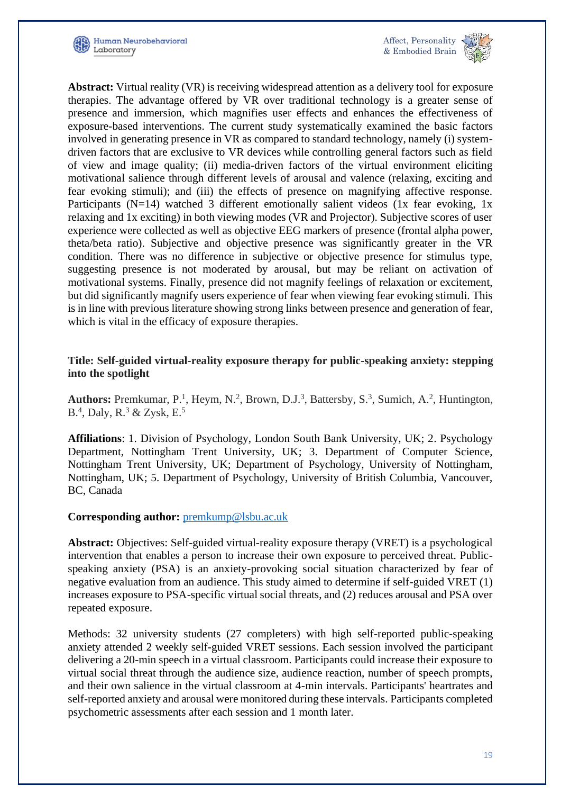

**Abstract:** Virtual reality (VR) is receiving widespread attention as a delivery tool for exposure therapies. The advantage offered by VR over traditional technology is a greater sense of presence and immersion, which magnifies user effects and enhances the effectiveness of exposure-based interventions. The current study systematically examined the basic factors involved in generating presence in VR as compared to standard technology, namely (i) systemdriven factors that are exclusive to VR devices while controlling general factors such as field of view and image quality; (ii) media-driven factors of the virtual environment eliciting motivational salience through different levels of arousal and valence (relaxing, exciting and fear evoking stimuli); and (iii) the effects of presence on magnifying affective response. Participants (N=14) watched 3 different emotionally salient videos (1x fear evoking, 1x relaxing and 1x exciting) in both viewing modes (VR and Projector). Subjective scores of user experience were collected as well as objective EEG markers of presence (frontal alpha power, theta/beta ratio). Subjective and objective presence was significantly greater in the VR condition. There was no difference in subjective or objective presence for stimulus type, suggesting presence is not moderated by arousal, but may be reliant on activation of motivational systems. Finally, presence did not magnify feelings of relaxation or excitement, but did significantly magnify users experience of fear when viewing fear evoking stimuli. This is in line with previous literature showing strong links between presence and generation of fear, which is vital in the efficacy of exposure therapies.

# **Title: Self-guided virtual-reality exposure therapy for public-speaking anxiety: stepping into the spotlight**

Authors: Premkumar, P.<sup>1</sup>, Heym, N.<sup>2</sup>, Brown, D.J.<sup>3</sup>, Battersby, S.<sup>3</sup>, Sumich, A.<sup>2</sup>, Huntington, B.<sup>4</sup> , Daly, R.<sup>3</sup> & Zysk, E.<sup>5</sup>

**Affiliations**: 1. Division of Psychology, London South Bank University, UK; 2. Psychology Department, Nottingham Trent University, UK; 3. Department of Computer Science, Nottingham Trent University, UK; Department of Psychology, University of Nottingham, Nottingham, UK; 5. Department of Psychology, University of British Columbia, Vancouver, BC, Canada

# **Corresponding author:** [premkump@lsbu.ac.uk](about:blank)

**Abstract:** Objectives: Self-guided virtual-reality exposure therapy (VRET) is a psychological intervention that enables a person to increase their own exposure to perceived threat. Publicspeaking anxiety (PSA) is an anxiety-provoking social situation characterized by fear of negative evaluation from an audience. This study aimed to determine if self-guided VRET (1) increases exposure to PSA-specific virtual social threats, and (2) reduces arousal and PSA over repeated exposure.

Methods: 32 university students (27 completers) with high self-reported public-speaking anxiety attended 2 weekly self-guided VRET sessions. Each session involved the participant delivering a 20-min speech in a virtual classroom. Participants could increase their exposure to virtual social threat through the audience size, audience reaction, number of speech prompts, and their own salience in the virtual classroom at 4-min intervals. Participants' heartrates and self-reported anxiety and arousal were monitored during these intervals. Participants completed psychometric assessments after each session and 1 month later.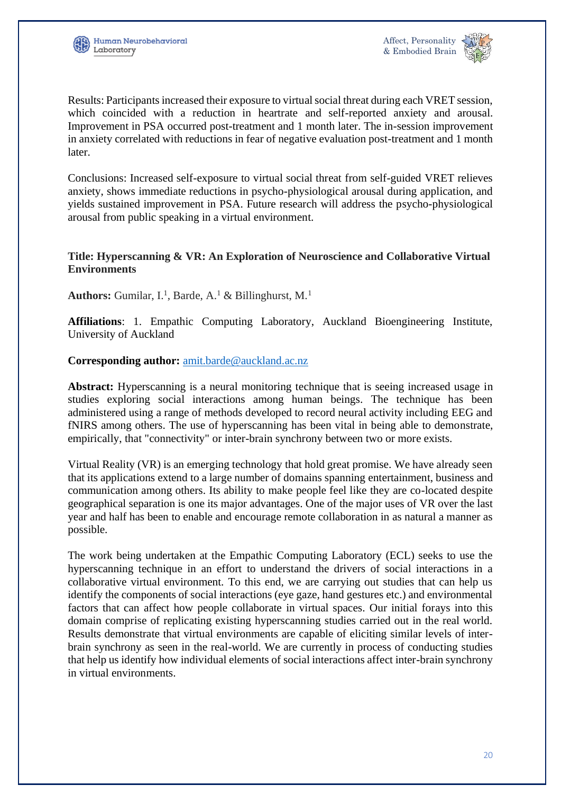

Results: Participants increased their exposure to virtual social threat during each VRET session, which coincided with a reduction in heartrate and self-reported anxiety and arousal. Improvement in PSA occurred post-treatment and 1 month later. The in-session improvement in anxiety correlated with reductions in fear of negative evaluation post-treatment and 1 month later.

Conclusions: Increased self-exposure to virtual social threat from self-guided VRET relieves anxiety, shows immediate reductions in psycho-physiological arousal during application, and yields sustained improvement in PSA. Future research will address the psycho-physiological arousal from public speaking in a virtual environment.

# **Title: Hyperscanning & VR: An Exploration of Neuroscience and Collaborative Virtual Environments**

Authors: Gumilar, I.<sup>1</sup>, Barde, A.<sup>1</sup> & Billinghurst, M.<sup>1</sup>

**Affiliations**: 1. Empathic Computing Laboratory, Auckland Bioengineering Institute, University of Auckland

### **Corresponding author:** [amit.barde@auckland.ac.nz](about:blank)

**Abstract:** Hyperscanning is a neural monitoring technique that is seeing increased usage in studies exploring social interactions among human beings. The technique has been administered using a range of methods developed to record neural activity including EEG and fNIRS among others. The use of hyperscanning has been vital in being able to demonstrate, empirically, that "connectivity" or inter-brain synchrony between two or more exists.

Virtual Reality (VR) is an emerging technology that hold great promise. We have already seen that its applications extend to a large number of domains spanning entertainment, business and communication among others. Its ability to make people feel like they are co-located despite geographical separation is one its major advantages. One of the major uses of VR over the last year and half has been to enable and encourage remote collaboration in as natural a manner as possible.

The work being undertaken at the Empathic Computing Laboratory (ECL) seeks to use the hyperscanning technique in an effort to understand the drivers of social interactions in a collaborative virtual environment. To this end, we are carrying out studies that can help us identify the components of social interactions (eye gaze, hand gestures etc.) and environmental factors that can affect how people collaborate in virtual spaces. Our initial forays into this domain comprise of replicating existing hyperscanning studies carried out in the real world. Results demonstrate that virtual environments are capable of eliciting similar levels of interbrain synchrony as seen in the real-world. We are currently in process of conducting studies that help us identify how individual elements of social interactions affect inter-brain synchrony in virtual environments.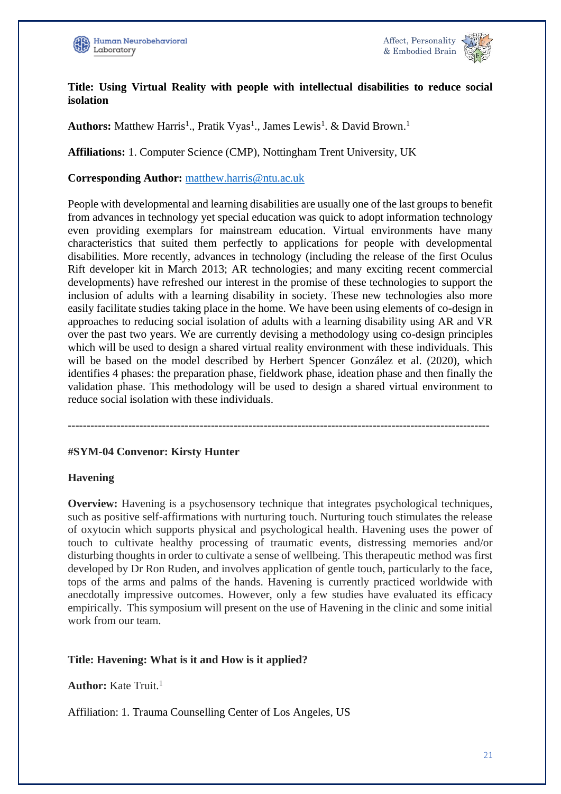





### **Title: Using Virtual Reality with people with intellectual disabilities to reduce social isolation**

Authors: Matthew Harris<sup>1</sup>., Pratik Vyas<sup>1</sup>., James Lewis<sup>1</sup>. & David Brown.<sup>1</sup>

**Affiliations:** 1. Computer Science (CMP), Nottingham Trent University, UK

**Corresponding Author:** [matthew.harris@ntu.ac.uk](about:blank)

People with developmental and learning disabilities are usually one of the last groups to benefit from advances in technology yet special education was quick to adopt information technology even providing exemplars for mainstream education. Virtual environments have many characteristics that suited them perfectly to applications for people with developmental disabilities. More recently, advances in technology (including the release of the first Oculus Rift developer kit in March 2013; AR technologies; and many exciting recent commercial developments) have refreshed our interest in the promise of these technologies to support the inclusion of adults with a learning disability in society. These new technologies also more easily facilitate studies taking place in the home. We have been using elements of co-design in approaches to reducing social isolation of adults with a learning disability using AR and VR over the past two years. We are currently devising a methodology using co-design principles which will be used to design a shared virtual reality environment with these individuals. This will be based on the model described by Herbert Spencer González et al. (2020), which identifies 4 phases: the preparation phase, fieldwork phase, ideation phase and then finally the validation phase. This methodology will be used to design a shared virtual environment to reduce social isolation with these individuals.

----------------------------------------------------------------------------------------------------------------

<span id="page-20-0"></span>**#SYM-04 Convenor: Kirsty Hunter**

#### **Havening**

**Overview:** Havening is a psychosensory technique that integrates psychological techniques, such as positive self-affirmations with nurturing touch. Nurturing touch stimulates the release of oxytocin which supports physical and psychological health. Havening uses the power of touch to cultivate healthy processing of traumatic events, distressing memories and/or disturbing thoughts in order to cultivate a sense of wellbeing. This therapeutic method was first developed by Dr Ron Ruden, and involves application of gentle touch, particularly to the face, tops of the arms and palms of the hands. Havening is currently practiced worldwide with anecdotally impressive outcomes. However, only a few studies have evaluated its efficacy empirically. This symposium will present on the use of Havening in the clinic and some initial work from our team.

#### **Title: Havening: What is it and How is it applied?**

**Author:** Kate Truit. 1

Affiliation: 1. Trauma Counselling Center of Los Angeles, US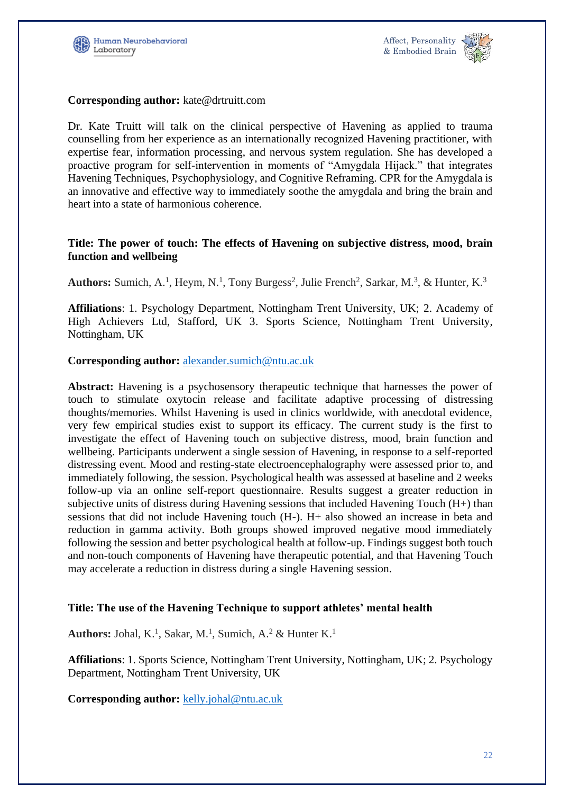

# **Corresponding author:** kate@drtruitt.com

Dr. Kate Truitt will talk on the clinical perspective of Havening as applied to trauma counselling from her experience as an internationally recognized Havening practitioner, with expertise fear, information processing, and nervous system regulation. She has developed a proactive program for self-intervention in moments of "Amygdala Hijack." that integrates Havening Techniques, Psychophysiology, and Cognitive Reframing. CPR for the Amygdala is an innovative and effective way to immediately soothe the amygdala and bring the brain and heart into a state of harmonious coherence.

#### **Title: The power of touch: The effects of Havening on subjective distress, mood, brain function and wellbeing**

Authors: Sumich, A.<sup>1</sup>, Heym, N.<sup>1</sup>, Tony Burgess<sup>2</sup>, Julie French<sup>2</sup>, Sarkar, M.<sup>3</sup>, & Hunter, K.<sup>3</sup>

**Affiliations**: 1. Psychology Department, Nottingham Trent University, UK; 2. Academy of High Achievers Ltd, Stafford, UK 3. Sports Science, Nottingham Trent University, Nottingham, UK

#### **Corresponding author:** [alexander.sumich@ntu.ac.uk](about:blank)

Abstract: Havening is a psychosensory therapeutic technique that harnesses the power of touch to stimulate oxytocin release and facilitate adaptive processing of distressing thoughts/memories. Whilst Havening is used in clinics worldwide, with anecdotal evidence, very few empirical studies exist to support its efficacy. The current study is the first to investigate the effect of Havening touch on subjective distress, mood, brain function and wellbeing. Participants underwent a single session of Havening, in response to a self-reported distressing event. Mood and resting-state electroencephalography were assessed prior to, and immediately following, the session. Psychological health was assessed at baseline and 2 weeks follow-up via an online self-report questionnaire. Results suggest a greater reduction in subjective units of distress during Havening sessions that included Havening Touch (H+) than sessions that did not include Havening touch (H-). H+ also showed an increase in beta and reduction in gamma activity. Both groups showed improved negative mood immediately following the session and better psychological health at follow-up. Findings suggest both touch and non-touch components of Havening have therapeutic potential, and that Havening Touch may accelerate a reduction in distress during a single Havening session.

#### **Title: The use of the Havening Technique to support athletes' mental health**

Authors: Johal, K.<sup>1</sup>, Sakar, M.<sup>1</sup>, Sumich, A.<sup>2</sup> & Hunter K.<sup>1</sup>

**Affiliations**: 1. Sports Science, Nottingham Trent University, Nottingham, UK; 2. Psychology Department, Nottingham Trent University, UK

**Corresponding author:** [kelly.johal@ntu.ac.uk](about:blank)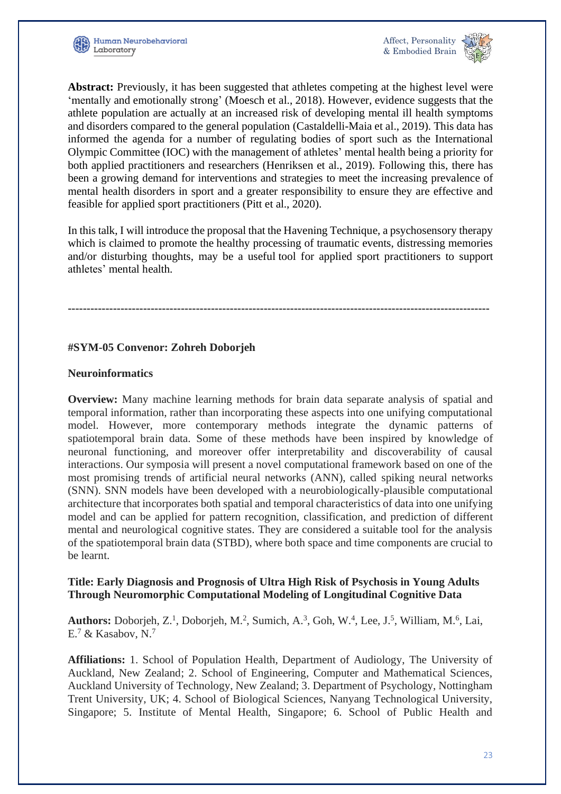

Abstract: Previously, it has been suggested that athletes competing at the highest level were 'mentally and emotionally strong' (Moesch et al., 2018). However, evidence suggests that the athlete population are actually at an increased risk of developing mental ill health symptoms and disorders compared to the general population (Castaldelli-Maia et al., 2019). This data has informed the agenda for a number of regulating bodies of sport such as the International Olympic Committee (IOC) with the management of athletes' mental health being a priority for both applied practitioners and researchers (Henriksen et al., 2019). Following this, there has been a growing demand for interventions and strategies to meet the increasing prevalence of mental health disorders in sport and a greater responsibility to ensure they are effective and feasible for applied sport practitioners (Pitt et al., 2020).

In this talk, I will introduce the proposal that the Havening Technique, a psychosensory therapy which is claimed to promote the healthy processing of traumatic events, distressing memories and/or disturbing thoughts, may be a useful tool for applied sport practitioners to support athletes' mental health.

----------------------------------------------------------------------------------------------------------------

# <span id="page-22-0"></span>**#SYM-05 Convenor: Zohreh Doborjeh**

#### **Neuroinformatics**

**Overview:** Many machine learning methods for brain data separate analysis of spatial and temporal information, rather than incorporating these aspects into one unifying computational model. However, more contemporary methods integrate the dynamic patterns of spatiotemporal brain data. Some of these methods have been inspired by knowledge of neuronal functioning, and moreover offer interpretability and discoverability of causal interactions. Our symposia will present a novel computational framework based on one of the most promising trends of artificial neural networks (ANN), called spiking neural networks (SNN). SNN models have been developed with a neurobiologically-plausible computational architecture that incorporates both spatial and temporal characteristics of data into one unifying model and can be applied for pattern recognition, classification, and prediction of different mental and neurological cognitive states. They are considered a suitable tool for the analysis of the spatiotemporal brain data (STBD), where both space and time components are crucial to be learnt.

#### **Title: Early Diagnosis and Prognosis of Ultra High Risk of Psychosis in Young Adults Through Neuromorphic Computational Modeling of Longitudinal Cognitive Data**

Authors: Doborjeh, Z.<sup>1</sup>, Doborjeh, M.<sup>2</sup>, Sumich, A.<sup>3</sup>, Goh, W.<sup>4</sup>, Lee, J.<sup>5</sup>, William, M.<sup>6</sup>, Lai,  $E^7$  & Kasabov, N.<sup>7</sup>

**Affiliations:** 1. School of Population Health, Department of Audiology, The University of Auckland, New Zealand; 2. School of Engineering, Computer and Mathematical Sciences, Auckland University of Technology, New Zealand; 3. Department of Psychology, Nottingham Trent University, UK; 4. School of Biological Sciences, Nanyang Technological University, Singapore; 5. Institute of Mental Health, Singapore; 6. School of Public Health and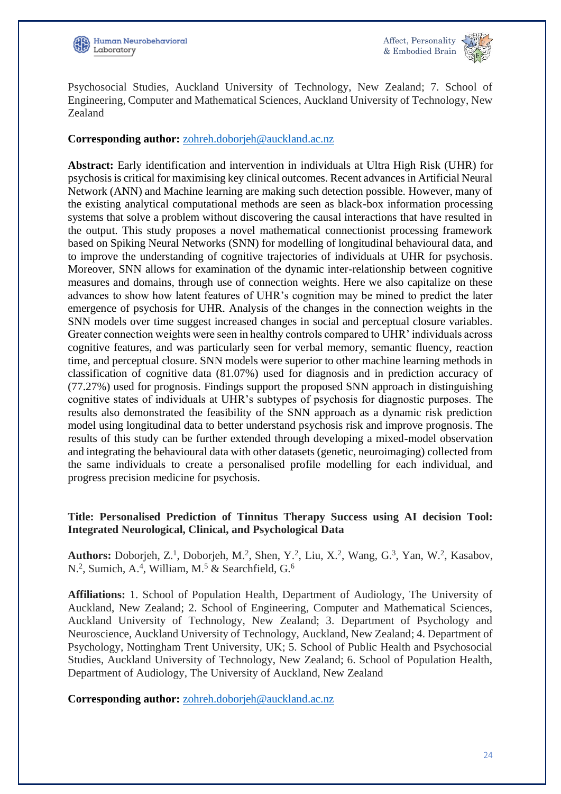



Psychosocial Studies, Auckland University of Technology, New Zealand; 7. School of Engineering, Computer and Mathematical Sciences, Auckland University of Technology, New Zealand

# **Corresponding author:** [zohreh.doborjeh@auckland.ac.nz](about:blank)

**Abstract:** Early identification and intervention in individuals at Ultra High Risk (UHR) for psychosis is critical for maximising key clinical outcomes. Recent advances in Artificial Neural Network (ANN) and Machine learning are making such detection possible. However, many of the existing analytical computational methods are seen as black-box information processing systems that solve a problem without discovering the causal interactions that have resulted in the output. This study proposes a novel mathematical connectionist processing framework based on Spiking Neural Networks (SNN) for modelling of longitudinal behavioural data, and to improve the understanding of cognitive trajectories of individuals at UHR for psychosis. Moreover, SNN allows for examination of the dynamic inter-relationship between cognitive measures and domains, through use of connection weights. Here we also capitalize on these advances to show how latent features of UHR's cognition may be mined to predict the later emergence of psychosis for UHR. Analysis of the changes in the connection weights in the SNN models over time suggest increased changes in social and perceptual closure variables. Greater connection weights were seen in healthy controls compared to UHR' individuals across cognitive features, and was particularly seen for verbal memory, semantic fluency, reaction time, and perceptual closure. SNN models were superior to other machine learning methods in classification of cognitive data (81.07%) used for diagnosis and in prediction accuracy of (77.27%) used for prognosis. Findings support the proposed SNN approach in distinguishing cognitive states of individuals at UHR's subtypes of psychosis for diagnostic purposes. The results also demonstrated the feasibility of the SNN approach as a dynamic risk prediction model using longitudinal data to better understand psychosis risk and improve prognosis. The results of this study can be further extended through developing a mixed-model observation and integrating the behavioural data with other datasets (genetic, neuroimaging) collected from the same individuals to create a personalised profile modelling for each individual, and progress precision medicine for psychosis.

# **Title: Personalised Prediction of Tinnitus Therapy Success using AI decision Tool: Integrated Neurological, Clinical, and Psychological Data**

Authors: Doborjeh, Z.<sup>1</sup>, Doborjeh, M.<sup>2</sup>, Shen, Y.<sup>2</sup>, Liu, X.<sup>2</sup>, Wang, G.<sup>3</sup>, Yan, W.<sup>2</sup>, Kasabov, N.<sup>2</sup>, Sumich, A.<sup>4</sup>, William, M.<sup>5</sup> & Searchfield, G.<sup>6</sup>

**Affiliations:** 1. School of Population Health, Department of Audiology, The University of Auckland, New Zealand; 2. School of Engineering, Computer and Mathematical Sciences, Auckland University of Technology, New Zealand; 3. Department of Psychology and Neuroscience, Auckland University of Technology, Auckland, New Zealand; 4. Department of Psychology, Nottingham Trent University, UK; 5. School of Public Health and Psychosocial Studies, Auckland University of Technology, New Zealand; 6. School of Population Health, Department of Audiology, The University of Auckland, New Zealand

**Corresponding author:** [zohreh.doborjeh@auckland.ac.nz](about:blank)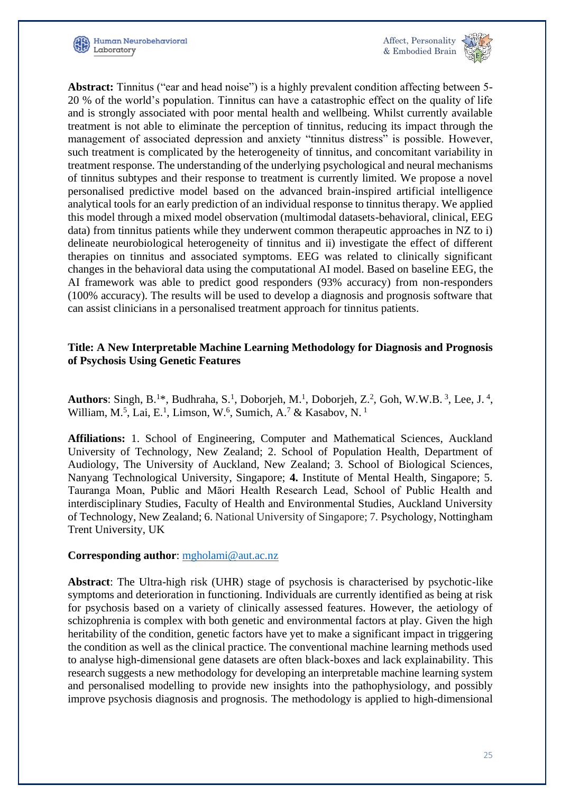

**Abstract:** Tinnitus ("ear and head noise") is a highly prevalent condition affecting between 5- 20 % of the world's population. Tinnitus can have a catastrophic effect on the quality of life and is strongly associated with poor mental health and wellbeing. Whilst currently available treatment is not able to eliminate the perception of tinnitus, reducing its impact through the management of associated depression and anxiety "tinnitus distress" is possible. However, such treatment is complicated by the heterogeneity of tinnitus, and concomitant variability in treatment response. The understanding of the underlying psychological and neural mechanisms of tinnitus subtypes and their response to treatment is currently limited. We propose a novel personalised predictive model based on the advanced brain-inspired artificial intelligence analytical tools for an early prediction of an individual response to tinnitus therapy. We applied this model through a mixed model observation (multimodal datasets-behavioral, clinical, EEG data) from tinnitus patients while they underwent common therapeutic approaches in NZ to i) delineate neurobiological heterogeneity of tinnitus and ii) investigate the effect of different therapies on tinnitus and associated symptoms. EEG was related to clinically significant changes in the behavioral data using the computational AI model. Based on baseline EEG, the AI framework was able to predict good responders (93% accuracy) from non-responders (100% accuracy). The results will be used to develop a diagnosis and prognosis software that can assist clinicians in a personalised treatment approach for tinnitus patients.

# **Title: A New Interpretable Machine Learning Methodology for Diagnosis and Prognosis of Psychosis Using Genetic Features**

Authors: Singh, B.<sup>1\*</sup>, Budhraha, S.<sup>1</sup>, Doborjeh, M.<sup>1</sup>, Doborjeh, Z.<sup>2</sup>, Goh, W.W.B.<sup>3</sup>, Lee, J.<sup>4</sup>, William, M.<sup>5</sup>, Lai, E.<sup>1</sup>, Limson, W.<sup>6</sup>, Sumich, A.<sup>7</sup> & Kasabov, N.<sup>1</sup>

**Affiliations:** 1. School of Engineering, Computer and Mathematical Sciences, Auckland University of Technology, New Zealand; 2. School of Population Health, Department of Audiology, The University of Auckland, New Zealand; 3. School of Biological Sciences, Nanyang Technological University, Singapore; **4.** Institute of Mental Health, Singapore; 5. Tauranga Moan, Public and Māori Health Research Lead, School of Public Health and interdisciplinary Studies, Faculty of Health and Environmental Studies, Auckland University of Technology, New Zealand; 6. National University of Singapore; 7. Psychology, Nottingham Trent University, UK

#### **Corresponding author**: [mgholami@aut.ac.nz](mailto:mgholami@aut.ac.nz)

**Abstract**: The Ultra-high risk (UHR) stage of psychosis is characterised by psychotic-like symptoms and deterioration in functioning. Individuals are currently identified as being at risk for psychosis based on a variety of clinically assessed features. However, the aetiology of schizophrenia is complex with both genetic and environmental factors at play. Given the high heritability of the condition, genetic factors have yet to make a significant impact in triggering the condition as well as the clinical practice. The conventional machine learning methods used to analyse high-dimensional gene datasets are often black-boxes and lack explainability. This research suggests a new methodology for developing an interpretable machine learning system and personalised modelling to provide new insights into the pathophysiology, and possibly improve psychosis diagnosis and prognosis. The methodology is applied to high-dimensional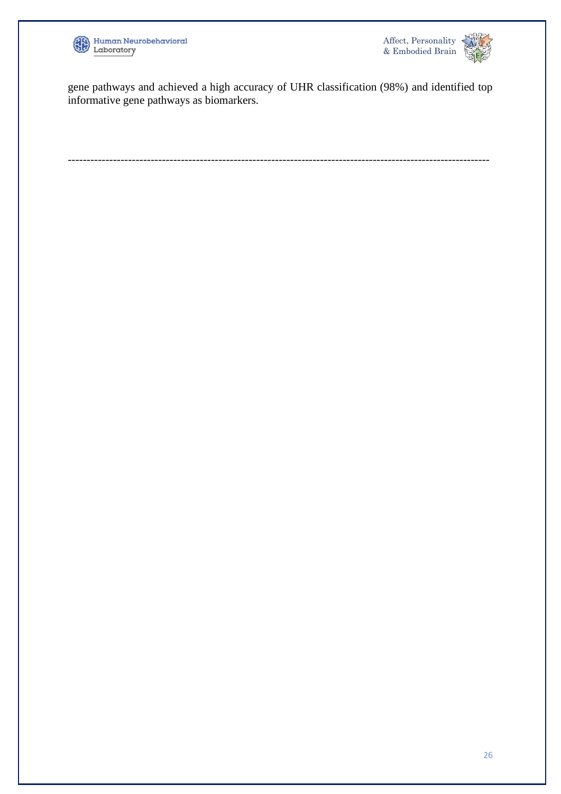



gene pathways and achieved a high accuracy of UHR classification (98%) and identified top informative gene pathways as biomarkers.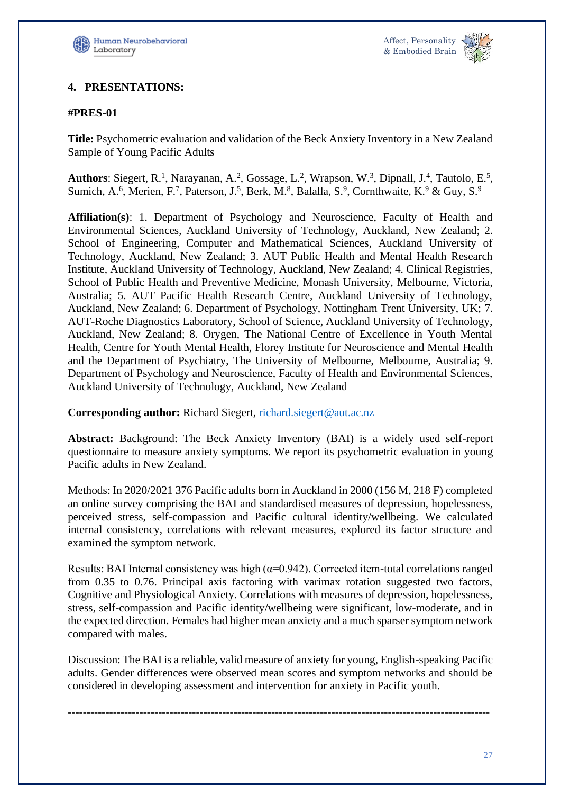



### **4. PRESENTATIONS:**

#### <span id="page-26-0"></span>**#PRES-01**

**Title:** Psychometric evaluation and validation of the Beck Anxiety Inventory in a New Zealand Sample of Young Pacific Adults

Authors: Siegert, R.<sup>1</sup>, Narayanan, A.<sup>2</sup>, Gossage, L.<sup>2</sup>, Wrapson, W.<sup>3</sup>, Dipnall, J.<sup>4</sup>, Tautolo, E.<sup>5</sup>, Sumich, A.<sup>6</sup>, Merien, F.<sup>7</sup>, Paterson, J.<sup>5</sup>, Berk, M.<sup>8</sup>, Balalla, S.<sup>9</sup>, Cornthwaite, K.<sup>9</sup> & Guy, S.<sup>9</sup>

**Affiliation(s)**: 1. Department of Psychology and Neuroscience, Faculty of Health and Environmental Sciences, Auckland University of Technology, Auckland, New Zealand; 2. School of Engineering, Computer and Mathematical Sciences, Auckland University of Technology, Auckland, New Zealand; 3. AUT Public Health and Mental Health Research Institute, Auckland University of Technology, Auckland, New Zealand; 4. Clinical Registries, School of Public Health and Preventive Medicine, Monash University, Melbourne, Victoria, Australia; 5. AUT Pacific Health Research Centre, Auckland University of Technology, Auckland, New Zealand; 6. Department of Psychology, Nottingham Trent University, UK; 7. AUT-Roche Diagnostics Laboratory, School of Science, Auckland University of Technology, Auckland, New Zealand; 8. Orygen, The National Centre of Excellence in Youth Mental Health, Centre for Youth Mental Health, Florey Institute for Neuroscience and Mental Health and the Department of Psychiatry, The University of Melbourne, Melbourne, Australia; 9. Department of Psychology and Neuroscience, Faculty of Health and Environmental Sciences, Auckland University of Technology, Auckland, New Zealand

**Corresponding author:** Richard Siegert, [richard.siegert@aut.ac.nz](about:blank)

**Abstract:** Background: The Beck Anxiety Inventory (BAI) is a widely used self-report questionnaire to measure anxiety symptoms. We report its psychometric evaluation in young Pacific adults in New Zealand.

Methods: In 2020/2021 376 Pacific adults born in Auckland in 2000 (156 M, 218 F) completed an online survey comprising the BAI and standardised measures of depression, hopelessness, perceived stress, self-compassion and Pacific cultural identity/wellbeing. We calculated internal consistency, correlations with relevant measures, explored its factor structure and examined the symptom network.

Results: BAI Internal consistency was high  $(\alpha=0.942)$ . Corrected item-total correlations ranged from 0.35 to 0.76. Principal axis factoring with varimax rotation suggested two factors, Cognitive and Physiological Anxiety. Correlations with measures of depression, hopelessness, stress, self-compassion and Pacific identity/wellbeing were significant, low-moderate, and in the expected direction. Females had higher mean anxiety and a much sparser symptom network compared with males.

Discussion: The BAI is a reliable, valid measure of anxiety for young, English-speaking Pacific adults. Gender differences were observed mean scores and symptom networks and should be considered in developing assessment and intervention for anxiety in Pacific youth.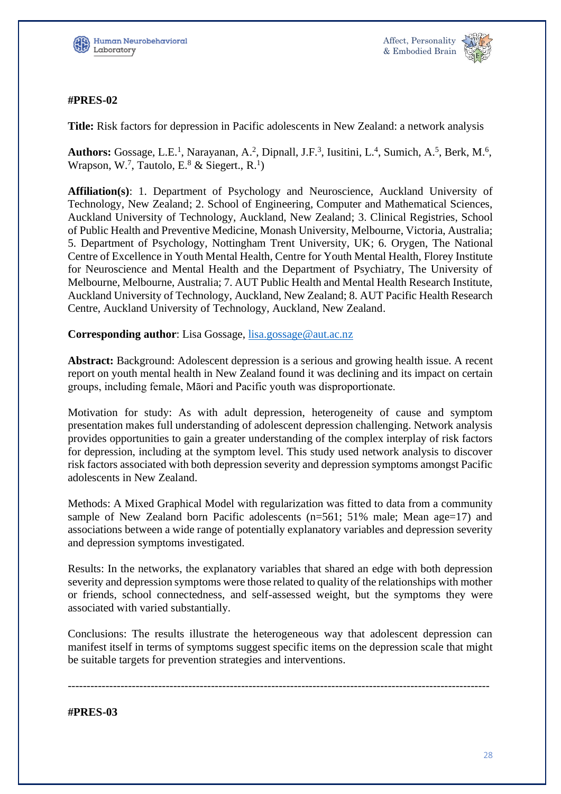



# <span id="page-27-0"></span>**#PRES-02**

**Title:** Risk factors for depression in Pacific adolescents in New Zealand: a network analysis

Authors: Gossage, L.E.<sup>1</sup>, Narayanan, A.<sup>2</sup>, Dipnall, J.F.<sup>3</sup>, Iusitini, L.<sup>4</sup>, Sumich, A.<sup>5</sup>, Berk, M.<sup>6</sup>, Wrapson, W.<sup>7</sup>, Tautolo, E.<sup>8</sup> & Siegert., R.<sup>1</sup>)

**Affiliation(s)**: 1. Department of Psychology and Neuroscience, Auckland University of Technology, New Zealand; 2. School of Engineering, Computer and Mathematical Sciences, Auckland University of Technology, Auckland, New Zealand; 3. Clinical Registries, School of Public Health and Preventive Medicine, Monash University, Melbourne, Victoria, Australia; 5. Department of Psychology, Nottingham Trent University, UK; 6. Orygen, The National Centre of Excellence in Youth Mental Health, Centre for Youth Mental Health, Florey Institute for Neuroscience and Mental Health and the Department of Psychiatry, The University of Melbourne, Melbourne, Australia; 7. AUT Public Health and Mental Health Research Institute, Auckland University of Technology, Auckland, New Zealand; 8. AUT Pacific Health Research Centre, Auckland University of Technology, Auckland, New Zealand.

**Corresponding author**: Lisa Gossage, [lisa.gossage@aut.ac.nz](about:blank)

**Abstract:** Background: Adolescent depression is a serious and growing health issue. A recent report on youth mental health in New Zealand found it was declining and its impact on certain groups, including female, Māori and Pacific youth was disproportionate.

Motivation for study: As with adult depression, heterogeneity of cause and symptom presentation makes full understanding of adolescent depression challenging. Network analysis provides opportunities to gain a greater understanding of the complex interplay of risk factors for depression, including at the symptom level. This study used network analysis to discover risk factors associated with both depression severity and depression symptoms amongst Pacific adolescents in New Zealand.

Methods: A Mixed Graphical Model with regularization was fitted to data from a community sample of New Zealand born Pacific adolescents (n=561; 51% male; Mean age=17) and associations between a wide range of potentially explanatory variables and depression severity and depression symptoms investigated.

Results: In the networks, the explanatory variables that shared an edge with both depression severity and depression symptoms were those related to quality of the relationships with mother or friends, school connectedness, and self-assessed weight, but the symptoms they were associated with varied substantially.

Conclusions: The results illustrate the heterogeneous way that adolescent depression can manifest itself in terms of symptoms suggest specific items on the depression scale that might be suitable targets for prevention strategies and interventions.

----------------------------------------------------------------------------------------------------------------

<span id="page-27-1"></span>**#PRES-03**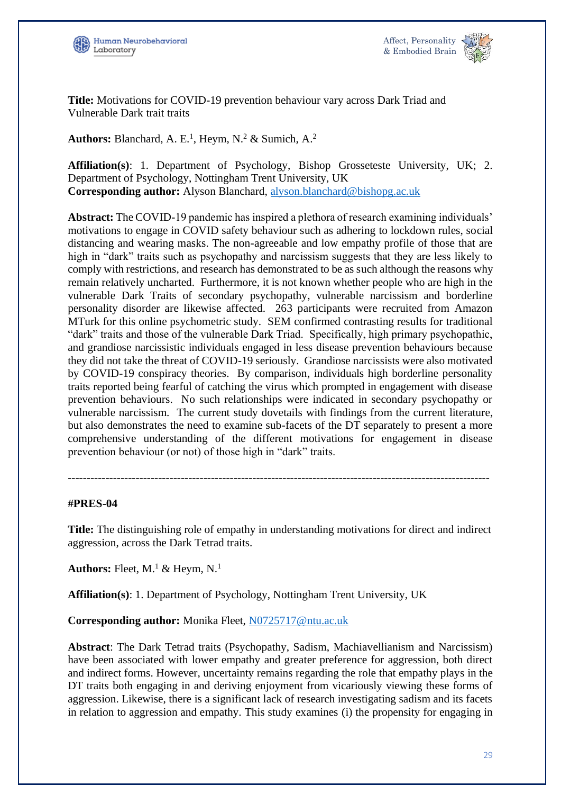



**Title:** Motivations for COVID-19 prevention behaviour vary across Dark Triad and Vulnerable Dark trait traits

Authors: Blanchard, A. E.<sup>1</sup>, Heym, N.<sup>2</sup> & Sumich, A.<sup>2</sup>

**Affiliation(s)**: 1. Department of Psychology, Bishop Grosseteste University, UK; 2. Department of Psychology, Nottingham Trent University, UK **Corresponding author:** Alyson Blanchard, [alyson.blanchard@bishopg.ac.uk](about:blank)

**Abstract:** The COVID-19 pandemic has inspired a plethora of research examining individuals' motivations to engage in COVID safety behaviour such as adhering to lockdown rules, social distancing and wearing masks. The non-agreeable and low empathy profile of those that are high in "dark" traits such as psychopathy and narcissism suggests that they are less likely to comply with restrictions, and research has demonstrated to be as such although the reasons why remain relatively uncharted. Furthermore, it is not known whether people who are high in the vulnerable Dark Traits of secondary psychopathy, vulnerable narcissism and borderline personality disorder are likewise affected. 263 participants were recruited from Amazon MTurk for this online psychometric study. SEM confirmed contrasting results for traditional "dark" traits and those of the vulnerable Dark Triad. Specifically, high primary psychopathic, and grandiose narcissistic individuals engaged in less disease prevention behaviours because they did not take the threat of COVID-19 seriously. Grandiose narcissists were also motivated by COVID-19 conspiracy theories. By comparison, individuals high borderline personality traits reported being fearful of catching the virus which prompted in engagement with disease prevention behaviours. No such relationships were indicated in secondary psychopathy or vulnerable narcissism. The current study dovetails with findings from the current literature, but also demonstrates the need to examine sub-facets of the DT separately to present a more comprehensive understanding of the different motivations for engagement in disease prevention behaviour (or not) of those high in "dark" traits.

<span id="page-28-0"></span>**#PRES-04**

**Title:** The distinguishing role of empathy in understanding motivations for direct and indirect aggression, across the Dark Tetrad traits.

----------------------------------------------------------------------------------------------------------------

**Authors:** Fleet,  $M<sup>1</sup>$  & Heym,  $N<sup>1</sup>$ 

**Affiliation(s)**: 1. Department of Psychology, Nottingham Trent University, UK

**Corresponding author:** Monika Fleet, [N0725717@ntu.ac.uk](about:blank)

**Abstract**: The Dark Tetrad traits (Psychopathy, Sadism, Machiavellianism and Narcissism) have been associated with lower empathy and greater preference for aggression, both direct and indirect forms. However, uncertainty remains regarding the role that empathy plays in the DT traits both engaging in and deriving enjoyment from vicariously viewing these forms of aggression. Likewise, there is a significant lack of research investigating sadism and its facets in relation to aggression and empathy. This study examines (i) the propensity for engaging in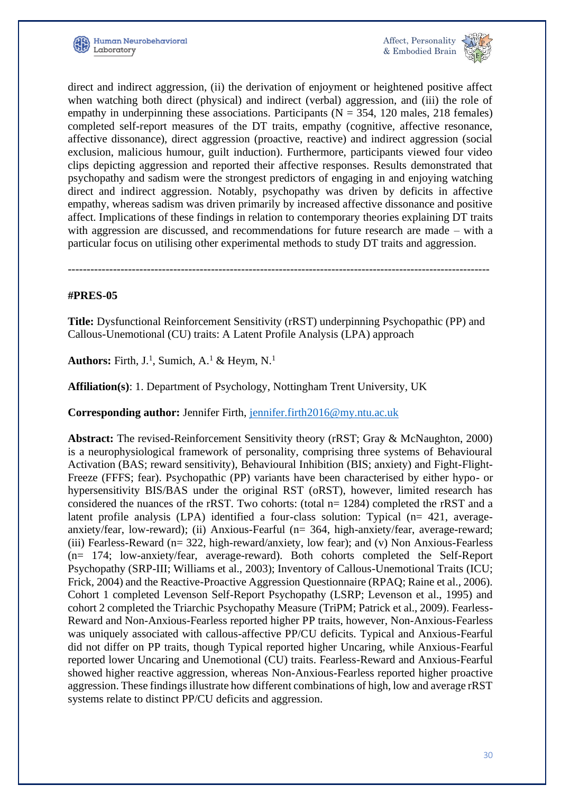



direct and indirect aggression, (ii) the derivation of enjoyment or heightened positive affect when watching both direct (physical) and indirect (verbal) aggression, and (iii) the role of empathy in underpinning these associations. Participants ( $N = 354$ , 120 males, 218 females) completed self-report measures of the DT traits, empathy (cognitive, affective resonance, affective dissonance), direct aggression (proactive, reactive) and indirect aggression (social exclusion, malicious humour, guilt induction). Furthermore, participants viewed four video clips depicting aggression and reported their affective responses. Results demonstrated that psychopathy and sadism were the strongest predictors of engaging in and enjoying watching direct and indirect aggression. Notably, psychopathy was driven by deficits in affective empathy, whereas sadism was driven primarily by increased affective dissonance and positive affect. Implications of these findings in relation to contemporary theories explaining DT traits with aggression are discussed, and recommendations for future research are made – with a particular focus on utilising other experimental methods to study DT traits and aggression.

----------------------------------------------------------------------------------------------------------------

#### <span id="page-29-0"></span>**#PRES-05**

**Title:** Dysfunctional Reinforcement Sensitivity (rRST) underpinning Psychopathic (PP) and Callous-Unemotional (CU) traits: A Latent Profile Analysis (LPA) approach

**Authors:** Firth,  $J^{1}$ , Sumich,  $A^{1}$  & Heym,  $N^{1}$ 

**Affiliation(s)**: 1. Department of Psychology, Nottingham Trent University, UK

**Corresponding author:** Jennifer Firth, [jennifer.firth2016@my.ntu.ac.uk](about:blank)

**Abstract:** The revised-Reinforcement Sensitivity theory (rRST; Gray & McNaughton, 2000) is a neurophysiological framework of personality, comprising three systems of Behavioural Activation (BAS; reward sensitivity), Behavioural Inhibition (BIS; anxiety) and Fight-Flight-Freeze (FFFS; fear). Psychopathic (PP) variants have been characterised by either hypo- or hypersensitivity BIS/BAS under the original RST (oRST), however, limited research has considered the nuances of the rRST. Two cohorts: (total n= 1284) completed the rRST and a latent profile analysis (LPA) identified a four-class solution: Typical (n= 421, averageanxiety/fear, low-reward); (ii) Anxious-Fearful (n= 364, high-anxiety/fear, average-reward; (iii) Fearless-Reward (n= 322, high-reward/anxiety, low fear); and (v) Non Anxious-Fearless (n= 174; low-anxiety/fear, average-reward). Both cohorts completed the Self-Report Psychopathy (SRP-III; Williams et al., 2003); Inventory of Callous-Unemotional Traits (ICU; Frick, 2004) and the Reactive-Proactive Aggression Questionnaire (RPAQ; Raine et al., 2006). Cohort 1 completed Levenson Self-Report Psychopathy (LSRP; Levenson et al., 1995) and cohort 2 completed the Triarchic Psychopathy Measure (TriPM; Patrick et al., 2009). Fearless-Reward and Non-Anxious-Fearless reported higher PP traits, however, Non-Anxious-Fearless was uniquely associated with callous-affective PP/CU deficits. Typical and Anxious-Fearful did not differ on PP traits, though Typical reported higher Uncaring, while Anxious-Fearful reported lower Uncaring and Unemotional (CU) traits. Fearless-Reward and Anxious-Fearful showed higher reactive aggression, whereas Non-Anxious-Fearless reported higher proactive aggression. These findings illustrate how different combinations of high, low and average rRST systems relate to distinct PP/CU deficits and aggression.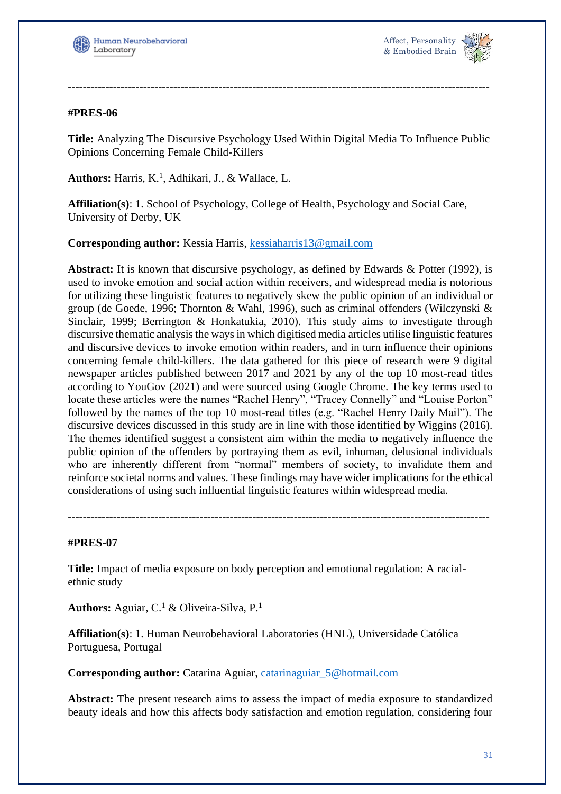



<span id="page-30-0"></span>**#PRES-06**

**Title:** Analyzing The Discursive Psychology Used Within Digital Media To Influence Public Opinions Concerning Female Child-Killers

----------------------------------------------------------------------------------------------------------------

Authors: Harris, K.<sup>1</sup>, Adhikari, J., & Wallace, L.

**Affiliation(s)**: 1. School of Psychology, College of Health, Psychology and Social Care, University of Derby, UK

#### **Corresponding author:** Kessia Harris, [kessiaharris13@gmail.com](about:blank)

**Abstract:** It is known that discursive psychology, as defined by Edwards & Potter (1992), is used to invoke emotion and social action within receivers, and widespread media is notorious for utilizing these linguistic features to negatively skew the public opinion of an individual or group (de Goede, 1996; Thornton & Wahl, 1996), such as criminal offenders (Wilczynski & Sinclair, 1999; Berrington & Honkatukia, 2010). This study aims to investigate through discursive thematic analysis the ways in which digitised media articles utilise linguistic features and discursive devices to invoke emotion within readers, and in turn influence their opinions concerning female child-killers. The data gathered for this piece of research were 9 digital newspaper articles published between 2017 and 2021 by any of the top 10 most-read titles according to YouGov (2021) and were sourced using Google Chrome. The key terms used to locate these articles were the names "Rachel Henry", "Tracey Connelly" and "Louise Porton" followed by the names of the top 10 most-read titles (e.g. "Rachel Henry Daily Mail"). The discursive devices discussed in this study are in line with those identified by Wiggins (2016). The themes identified suggest a consistent aim within the media to negatively influence the public opinion of the offenders by portraying them as evil, inhuman, delusional individuals who are inherently different from "normal" members of society, to invalidate them and reinforce societal norms and values. These findings may have wider implications for the ethical considerations of using such influential linguistic features within widespread media.

----------------------------------------------------------------------------------------------------------------

#### <span id="page-30-1"></span>**#PRES-07**

**Title:** Impact of media exposure on body perception and emotional regulation: A racialethnic study

**Authors:** Aguiar, C.<sup>1</sup> & Oliveira-Silva, P.<sup>1</sup>

**Affiliation(s)**: 1. Human Neurobehavioral Laboratories (HNL), Universidade Católica Portuguesa, Portugal

**Corresponding author:** Catarina Aguiar, [catarinaguiar\\_5@hotmail.com](about:blank)

**Abstract:** The present research aims to assess the impact of media exposure to standardized beauty ideals and how this affects body satisfaction and emotion regulation, considering four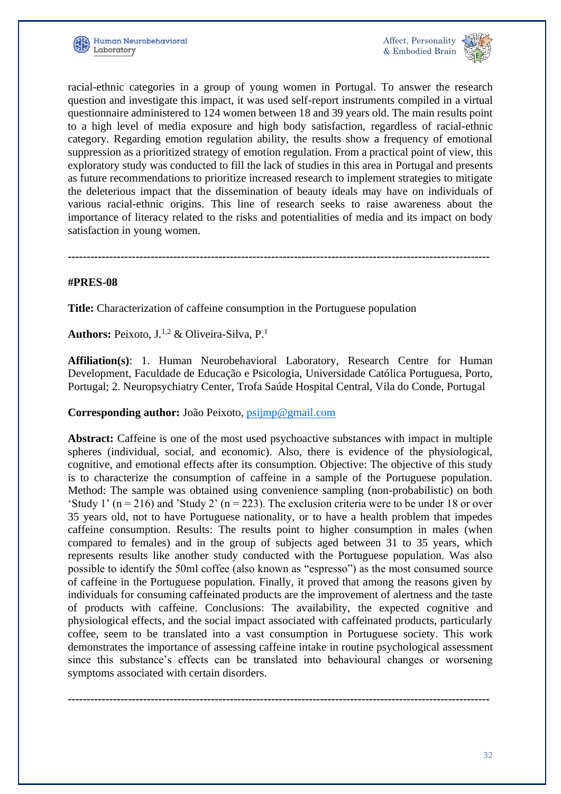

racial-ethnic categories in a group of young women in Portugal. To answer the research question and investigate this impact, it was used self-report instruments compiled in a virtual questionnaire administered to 124 women between 18 and 39 years old. The main results point to a high level of media exposure and high body satisfaction, regardless of racial-ethnic category. Regarding emotion regulation ability, the results show a frequency of emotional suppression as a prioritized strategy of emotion regulation. From a practical point of view, this exploratory study was conducted to fill the lack of studies in this area in Portugal and presents as future recommendations to prioritize increased research to implement strategies to mitigate the deleterious impact that the dissemination of beauty ideals may have on individuals of various racial-ethnic origins. This line of research seeks to raise awareness about the importance of literacy related to the risks and potentialities of media and its impact on body satisfaction in young women.

**----------------------------------------------------------------------------------------------------------------**

#### <span id="page-31-0"></span>**#PRES-08**

**Title:** Characterization of caffeine consumption in the Portuguese population

Authors: Peixoto, J.<sup>1,2</sup> & Oliveira-Silva, P.<sup>1</sup>

**Affiliation(s)**: 1. Human Neurobehavioral Laboratory, Research Centre for Human Development, Faculdade de Educação e Psicologia, Universidade Católica Portuguesa, Porto, Portugal; 2. Neuropsychiatry Center, Trofa Saúde Hospital Central, Vila do Conde, Portugal

**Corresponding author:** João Peixoto, [psijmp@gmail.com](about:blank)

**Abstract:** Caffeine is one of the most used psychoactive substances with impact in multiple spheres (individual, social, and economic). Also, there is evidence of the physiological, cognitive, and emotional effects after its consumption. Objective: The objective of this study is to characterize the consumption of caffeine in a sample of the Portuguese population. Method: The sample was obtained using convenience sampling (non-probabilistic) on both 'Study 1' ( $n = 216$ ) and 'Study 2' ( $n = 223$ ). The exclusion criteria were to be under 18 or over 35 years old, not to have Portuguese nationality, or to have a health problem that impedes caffeine consumption. Results: The results point to higher consumption in males (when compared to females) and in the group of subjects aged between 31 to 35 years, which represents results like another study conducted with the Portuguese population. Was also possible to identify the 50ml coffee (also known as "espresso") as the most consumed source of caffeine in the Portuguese population. Finally, it proved that among the reasons given by individuals for consuming caffeinated products are the improvement of alertness and the taste of products with caffeine. Conclusions: The availability, the expected cognitive and physiological effects, and the social impact associated with caffeinated products, particularly coffee, seem to be translated into a vast consumption in Portuguese society. This work demonstrates the importance of assessing caffeine intake in routine psychological assessment since this substance's effects can be translated into behavioural changes or worsening symptoms associated with certain disorders.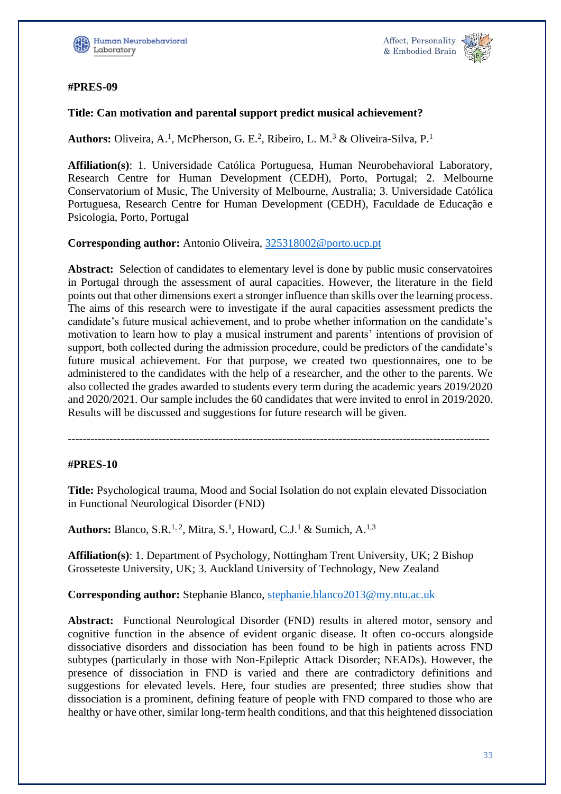



#### <span id="page-32-0"></span>**#PRES-09**

#### **Title: Can motivation and parental support predict musical achievement?**

Authors: Oliveira, A.<sup>1</sup>, McPherson, G. E.<sup>2</sup>, Ribeiro, L. M.<sup>3</sup> & Oliveira-Silva, P.<sup>1</sup>

**Affiliation(s)**: 1. Universidade Católica Portuguesa, Human Neurobehavioral Laboratory, Research Centre for Human Development (CEDH), Porto, Portugal; 2. Melbourne Conservatorium of Music, The University of Melbourne, Australia; 3. Universidade Católica Portuguesa, Research Centre for Human Development (CEDH), Faculdade de Educação e Psicologia, Porto, Portugal

#### **Corresponding author:** Antonio Oliveira, [325318002@porto.ucp.pt](about:blank)

**Abstract:** Selection of candidates to elementary level is done by public music conservatoires in Portugal through the assessment of aural capacities. However, the literature in the field points out that other dimensions exert a stronger influence than skills over the learning process. The aims of this research were to investigate if the aural capacities assessment predicts the candidate's future musical achievement, and to probe whether information on the candidate's motivation to learn how to play a musical instrument and parents' intentions of provision of support, both collected during the admission procedure, could be predictors of the candidate's future musical achievement. For that purpose, we created two questionnaires, one to be administered to the candidates with the help of a researcher, and the other to the parents. We also collected the grades awarded to students every term during the academic years 2019/2020 and 2020/2021. Our sample includes the 60 candidates that were invited to enrol in 2019/2020. Results will be discussed and suggestions for future research will be given.

----------------------------------------------------------------------------------------------------------------

#### **#PRES-10**

**Title:** Psychological trauma, Mood and Social Isolation do not explain elevated Dissociation in Functional Neurological Disorder (FND)

**Authors:** Blanco, S.R.<sup>1, 2</sup>, Mitra, S.<sup>1</sup>, Howard, C.J.<sup>1</sup> & Sumich, A.<sup>1,3</sup>

**Affiliation(s)**: 1. Department of Psychology, Nottingham Trent University, UK; 2 Bishop Grosseteste University, UK; 3. Auckland University of Technology, New Zealand

**Corresponding author:** Stephanie Blanco, [stephanie.blanco2013@my.ntu.ac.uk](about:blank)

**Abstract:** Functional Neurological Disorder (FND) results in altered motor, sensory and cognitive function in the absence of evident organic disease. It often co-occurs alongside dissociative disorders and dissociation has been found to be high in patients across FND subtypes (particularly in those with Non-Epileptic Attack Disorder; NEADs). However, the presence of dissociation in FND is varied and there are contradictory definitions and suggestions for elevated levels. Here, four studies are presented; three studies show that dissociation is a prominent, defining feature of people with FND compared to those who are healthy or have other, similar long-term health conditions, and that this heightened dissociation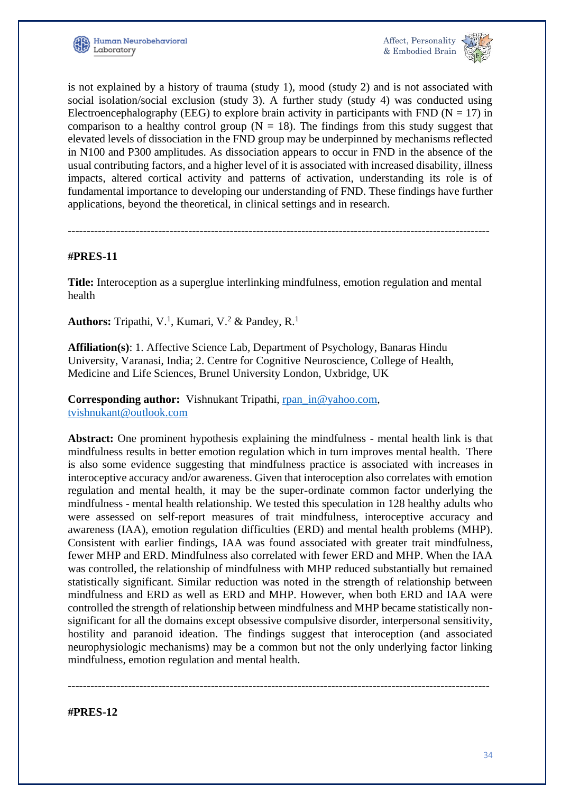

is not explained by a history of trauma (study 1), mood (study 2) and is not associated with social isolation/social exclusion (study 3). A further study (study 4) was conducted using Electroencephalography (EEG) to explore brain activity in participants with FND ( $N = 17$ ) in comparison to a healthy control group ( $N = 18$ ). The findings from this study suggest that elevated levels of dissociation in the FND group may be underpinned by mechanisms reflected in N100 and P300 amplitudes. As dissociation appears to occur in FND in the absence of the usual contributing factors, and a higher level of it is associated with increased disability, illness impacts, altered cortical activity and patterns of activation, understanding its role is of fundamental importance to developing our understanding of FND. These findings have further applications, beyond the theoretical, in clinical settings and in research.

----------------------------------------------------------------------------------------------------------------

#### <span id="page-33-0"></span>**#PRES-11**

**Title:** Interoception as a superglue interlinking mindfulness, emotion regulation and mental health

Authors: Tripathi, V.<sup>1</sup>, Kumari, V.<sup>2</sup> & Pandey, R.<sup>1</sup>

**Affiliation(s)**: 1. Affective Science Lab, Department of Psychology, Banaras Hindu University, Varanasi, India; 2. Centre for Cognitive Neuroscience, College of Health, Medicine and Life Sciences, Brunel University London, Uxbridge, UK

**Corresponding author:** Vishnukant Tripathi, [rpan\\_in@yahoo.com,](about:blank) [tvishnukant@outlook.com](about:blank)

**Abstract:** One prominent hypothesis explaining the mindfulness - mental health link is that mindfulness results in better emotion regulation which in turn improves mental health. There is also some evidence suggesting that mindfulness practice is associated with increases in interoceptive accuracy and/or awareness. Given that interoception also correlates with emotion regulation and mental health, it may be the super-ordinate common factor underlying the mindfulness - mental health relationship. We tested this speculation in 128 healthy adults who were assessed on self-report measures of trait mindfulness, interoceptive accuracy and awareness (IAA), emotion regulation difficulties (ERD) and mental health problems (MHP). Consistent with earlier findings, IAA was found associated with greater trait mindfulness, fewer MHP and ERD. Mindfulness also correlated with fewer ERD and MHP. When the IAA was controlled, the relationship of mindfulness with MHP reduced substantially but remained statistically significant. Similar reduction was noted in the strength of relationship between mindfulness and ERD as well as ERD and MHP. However, when both ERD and IAA were controlled the strength of relationship between mindfulness and MHP became statistically nonsignificant for all the domains except obsessive compulsive disorder, interpersonal sensitivity, hostility and paranoid ideation. The findings suggest that interoception (and associated neurophysiologic mechanisms) may be a common but not the only underlying factor linking mindfulness, emotion regulation and mental health.

----------------------------------------------------------------------------------------------------------------

<span id="page-33-1"></span>**#PRES-12**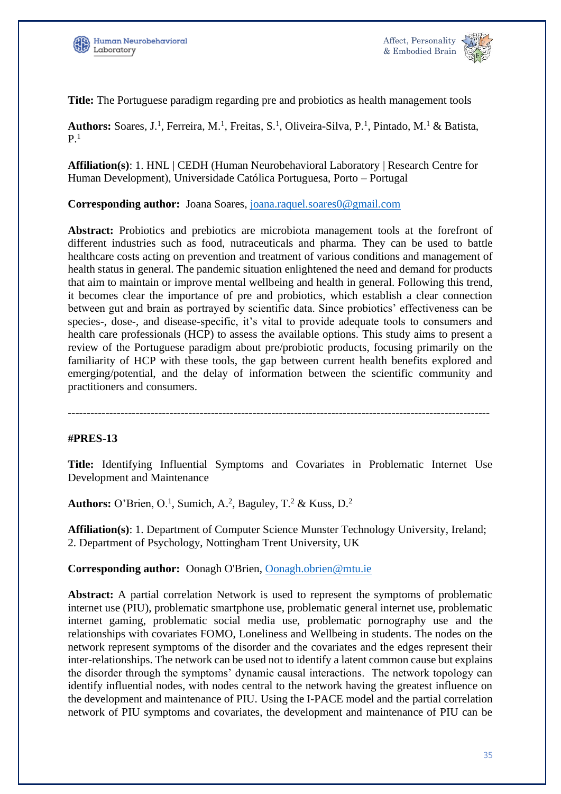



**Title:** The Portuguese paradigm regarding pre and probiotics as health management tools

Authors: Soares, J.<sup>1</sup>, Ferreira, M.<sup>1</sup>, Freitas, S.<sup>1</sup>, Oliveira-Silva, P.<sup>1</sup>, Pintado, M.<sup>1</sup> & Batista,  $P<sub>1</sub>$ 

**Affiliation(s)**: 1. HNL | CEDH (Human Neurobehavioral Laboratory | Research Centre for Human Development), Universidade Católica Portuguesa, Porto – Portugal

**Corresponding author:** Joana Soares, [joana.raquel.soares0@gmail.com](about:blank)

**Abstract:** Probiotics and prebiotics are microbiota management tools at the forefront of different industries such as food, nutraceuticals and pharma. They can be used to battle healthcare costs acting on prevention and treatment of various conditions and management of health status in general. The pandemic situation enlightened the need and demand for products that aim to maintain or improve mental wellbeing and health in general. Following this trend, it becomes clear the importance of pre and probiotics, which establish a clear connection between gut and brain as portrayed by scientific data. Since probiotics' effectiveness can be species-, dose-, and disease-specific, it's vital to provide adequate tools to consumers and health care professionals (HCP) to assess the available options. This study aims to present a review of the Portuguese paradigm about pre/probiotic products, focusing primarily on the familiarity of HCP with these tools, the gap between current health benefits explored and emerging/potential, and the delay of information between the scientific community and practitioners and consumers.

#### <span id="page-34-0"></span>**#PRES-13**

**Title:** Identifying Influential Symptoms and Covariates in Problematic Internet Use Development and Maintenance

----------------------------------------------------------------------------------------------------------------

Authors: O'Brien, O.<sup>1</sup>, Sumich, A.<sup>2</sup>, Baguley, T.<sup>2</sup> & Kuss, D.<sup>2</sup>

**Affiliation(s)**: 1. Department of Computer Science Munster Technology University, Ireland; 2. Department of Psychology, Nottingham Trent University, UK

**Corresponding author:** Oonagh O'Brien, [Oonagh.obrien@mtu.ie](about:blank)

**Abstract:** A partial correlation Network is used to represent the symptoms of problematic internet use (PIU), problematic smartphone use, problematic general internet use, problematic internet gaming, problematic social media use, problematic pornography use and the relationships with covariates FOMO, Loneliness and Wellbeing in students. The nodes on the network represent symptoms of the disorder and the covariates and the edges represent their inter-relationships. The network can be used not to identify a latent common cause but explains the disorder through the symptoms' dynamic causal interactions. The network topology can identify influential nodes, with nodes central to the network having the greatest influence on the development and maintenance of PIU. Using the I-PACE model and the partial correlation network of PIU symptoms and covariates, the development and maintenance of PIU can be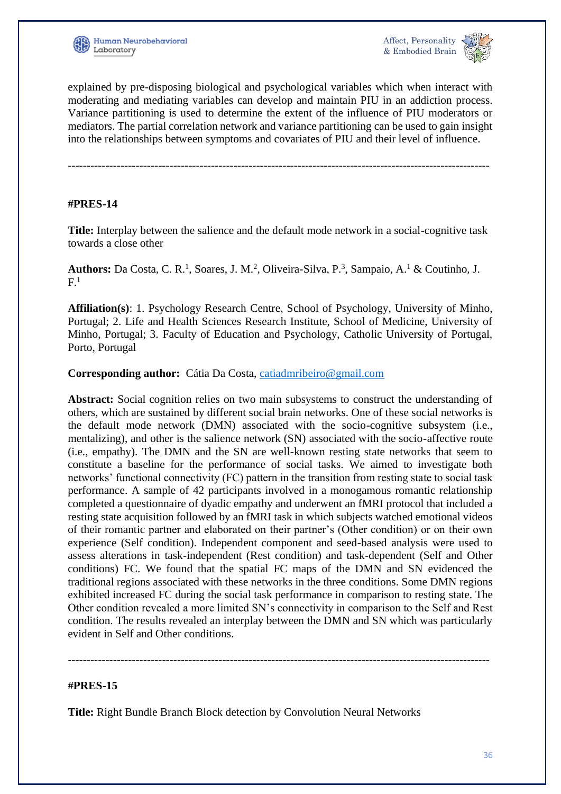





explained by pre-disposing biological and psychological variables which when interact with moderating and mediating variables can develop and maintain PIU in an addiction process. Variance partitioning is used to determine the extent of the influence of PIU moderators or mediators. The partial correlation network and variance partitioning can be used to gain insight into the relationships between symptoms and covariates of PIU and their level of influence.

----------------------------------------------------------------------------------------------------------------

#### <span id="page-35-0"></span>**#PRES-14**

**Title:** Interplay between the salience and the default mode network in a social-cognitive task towards a close other

Authors: Da Costa, C. R.<sup>1</sup>, Soares, J. M.<sup>2</sup>, Oliveira-Silva, P.<sup>3</sup>, Sampaio, A.<sup>1</sup> & Coutinho, J.  $F<sup>1</sup>$ 

**Affiliation(s)**: 1. Psychology Research Centre, School of Psychology, University of Minho, Portugal; 2. Life and Health Sciences Research Institute, School of Medicine, University of Minho, Portugal; 3. Faculty of Education and Psychology, Catholic University of Portugal, Porto, Portugal

**Corresponding author:** Cátia Da Costa, [catiadmribeiro@gmail.com](about:blank)

**Abstract:** Social cognition relies on two main subsystems to construct the understanding of others, which are sustained by different social brain networks. One of these social networks is the default mode network (DMN) associated with the socio-cognitive subsystem (i.e., mentalizing), and other is the salience network (SN) associated with the socio-affective route (i.e., empathy). The DMN and the SN are well-known resting state networks that seem to constitute a baseline for the performance of social tasks. We aimed to investigate both networks' functional connectivity (FC) pattern in the transition from resting state to social task performance. A sample of 42 participants involved in a monogamous romantic relationship completed a questionnaire of dyadic empathy and underwent an fMRI protocol that included a resting state acquisition followed by an fMRI task in which subjects watched emotional videos of their romantic partner and elaborated on their partner's (Other condition) or on their own experience (Self condition). Independent component and seed-based analysis were used to assess alterations in task-independent (Rest condition) and task-dependent (Self and Other conditions) FC. We found that the spatial FC maps of the DMN and SN evidenced the traditional regions associated with these networks in the three conditions. Some DMN regions exhibited increased FC during the social task performance in comparison to resting state. The Other condition revealed a more limited SN's connectivity in comparison to the Self and Rest condition. The results revealed an interplay between the DMN and SN which was particularly evident in Self and Other conditions.

----------------------------------------------------------------------------------------------------------------

#### <span id="page-35-1"></span>**#PRES-15**

**Title:** Right Bundle Branch Block detection by Convolution Neural Networks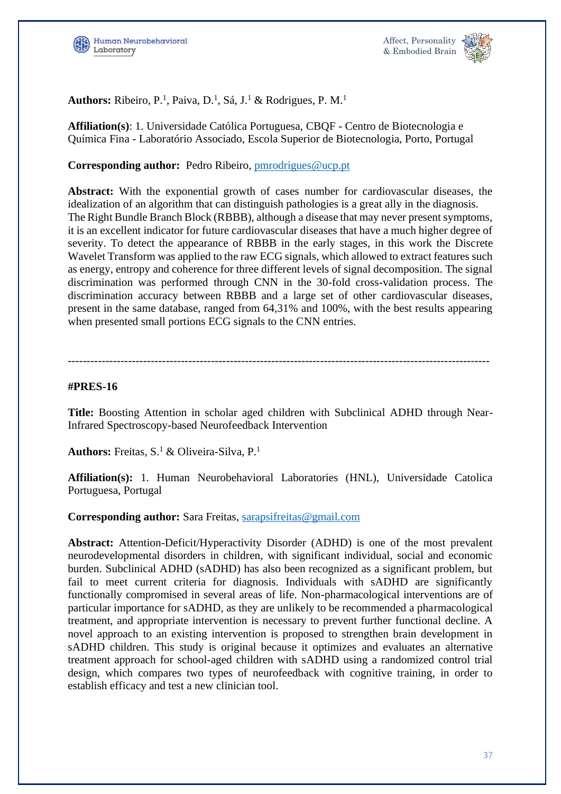



Authors: Ribeiro, P.<sup>1</sup>, Paiva, D.<sup>1</sup>, Sá, J.<sup>1</sup> & Rodrigues, P. M.<sup>1</sup>

**Affiliation(s)**: 1. Universidade Católica Portuguesa, CBQF - Centro de Biotecnologia e Química Fina - Laboratório Associado, Escola Superior de Biotecnologia, Porto, Portugal

**Corresponding author:** Pedro Ribeiro, [pmrodrigues@ucp.pt](about:blank)

**Abstract:** With the exponential growth of cases number for cardiovascular diseases, the idealization of an algorithm that can distinguish pathologies is a great ally in the diagnosis. The Right Bundle Branch Block (RBBB), although a disease that may never present symptoms, it is an excellent indicator for future cardiovascular diseases that have a much higher degree of severity. To detect the appearance of RBBB in the early stages, in this work the Discrete Wavelet Transform was applied to the raw ECG signals, which allowed to extract features such as energy, entropy and coherence for three different levels of signal decomposition. The signal discrimination was performed through CNN in the 30-fold cross-validation process. The discrimination accuracy between RBBB and a large set of other cardiovascular diseases, present in the same database, ranged from 64,31% and 100%, with the best results appearing when presented small portions ECG signals to the CNN entries.

<span id="page-36-0"></span>----------------------------------------------------------------------------------------------------------------

#### **#PRES-16**

**Title:** Boosting Attention in scholar aged children with Subclinical ADHD through Near-Infrared Spectroscopy-based Neurofeedback Intervention

Authors: Freitas, S.<sup>1</sup> & Oliveira-Silva, P.<sup>1</sup>

**Affiliation(s):** 1. Human Neurobehavioral Laboratories (HNL), Universidade Catolica Portuguesa, Portugal

**Corresponding author:** Sara Freitas, [sarapsifreitas@gmail.com](about:blank)

**Abstract:** Attention-Deficit/Hyperactivity Disorder (ADHD) is one of the most prevalent neurodevelopmental disorders in children, with significant individual, social and economic burden. Subclinical ADHD (sADHD) has also been recognized as a significant problem, but fail to meet current criteria for diagnosis. Individuals with sADHD are significantly functionally compromised in several areas of life. Non-pharmacological interventions are of particular importance for sADHD, as they are unlikely to be recommended a pharmacological treatment, and appropriate intervention is necessary to prevent further functional decline. A novel approach to an existing intervention is proposed to strengthen brain development in sADHD children. This study is original because it optimizes and evaluates an alternative treatment approach for school-aged children with sADHD using a randomized control trial design, which compares two types of neurofeedback with cognitive training, in order to establish efficacy and test a new clinician tool.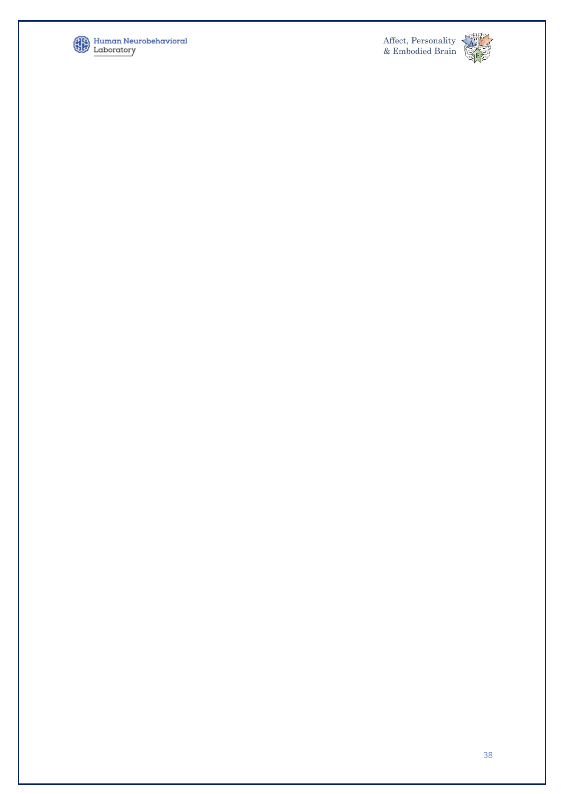

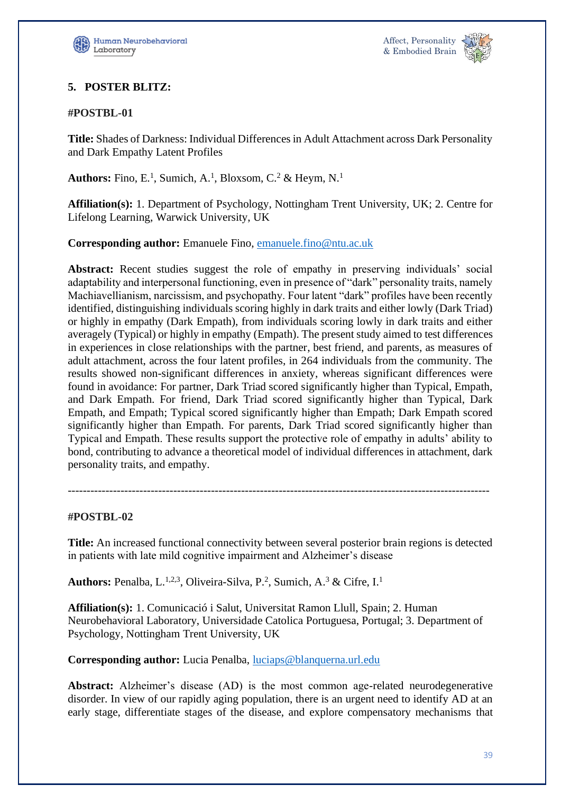





# **5. POSTER BLITZ:**

### <span id="page-38-0"></span>**#POSTBL-01**

**Title:** Shades of Darkness: Individual Differences in Adult Attachment across Dark Personality and Dark Empathy Latent Profiles

**Authors:** Fino, E.<sup>1</sup>, Sumich, A.<sup>1</sup>, Bloxsom, C.<sup>2</sup> & Heym, N.<sup>1</sup>

**Affiliation(s):** 1. Department of Psychology, Nottingham Trent University, UK; 2. Centre for Lifelong Learning, Warwick University, UK

#### **Corresponding author:** Emanuele Fino, [emanuele.fino@ntu.ac.uk](about:blank)

**Abstract:** Recent studies suggest the role of empathy in preserving individuals' social adaptability and interpersonal functioning, even in presence of "dark" personality traits, namely Machiavellianism, narcissism, and psychopathy. Four latent "dark" profiles have been recently identified, distinguishing individuals scoring highly in dark traits and either lowly (Dark Triad) or highly in empathy (Dark Empath), from individuals scoring lowly in dark traits and either averagely (Typical) or highly in empathy (Empath). The present study aimed to test differences in experiences in close relationships with the partner, best friend, and parents, as measures of adult attachment, across the four latent profiles, in 264 individuals from the community. The results showed non-significant differences in anxiety, whereas significant differences were found in avoidance: For partner, Dark Triad scored significantly higher than Typical, Empath, and Dark Empath. For friend, Dark Triad scored significantly higher than Typical, Dark Empath, and Empath; Typical scored significantly higher than Empath; Dark Empath scored significantly higher than Empath. For parents, Dark Triad scored significantly higher than Typical and Empath. These results support the protective role of empathy in adults' ability to bond, contributing to advance a theoretical model of individual differences in attachment, dark personality traits, and empathy.

#### <span id="page-38-1"></span>**#POSTBL-02**

**Title:** An increased functional connectivity between several posterior brain regions is detected in patients with late mild cognitive impairment and Alzheimer's disease

----------------------------------------------------------------------------------------------------------------

Authors: Penalba, L.<sup>1,2,3</sup>, Oliveira-Silva, P.<sup>2</sup>, Sumich, A.<sup>3</sup> & Cifre, I.<sup>1</sup>

**Affiliation(s):** 1. Comunicació i Salut, Universitat Ramon Llull, Spain; 2. Human Neurobehavioral Laboratory, Universidade Catolica Portuguesa, Portugal; 3. Department of Psychology, Nottingham Trent University, UK

**Corresponding author:** Lucia Penalba, luciaps@blanquerna.url.edu

**Abstract:** Alzheimer's disease (AD) is the most common age-related neurodegenerative disorder. In view of our rapidly aging population, there is an urgent need to identify AD at an early stage, differentiate stages of the disease, and explore compensatory mechanisms that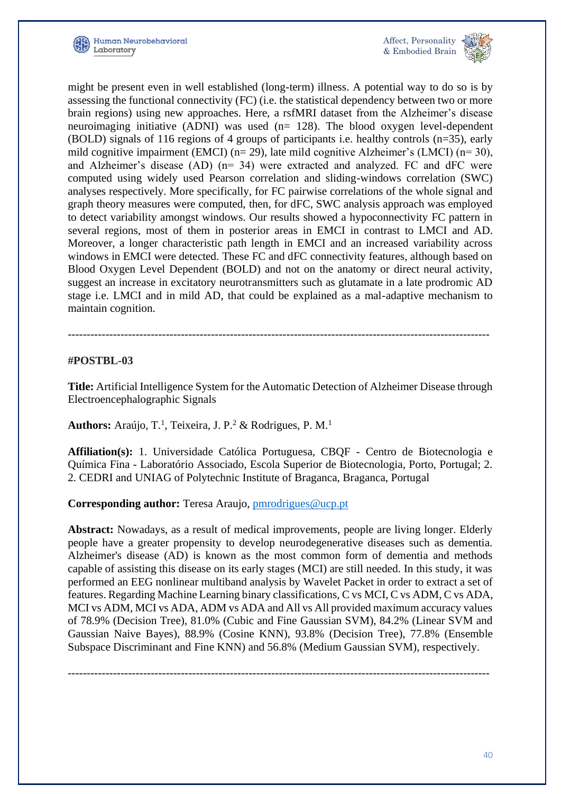





might be present even in well established (long-term) illness. A potential way to do so is by assessing the functional connectivity (FC) (i.e. the statistical dependency between two or more brain regions) using new approaches. Here, a rsfMRI dataset from the Alzheimer's disease neuroimaging initiative (ADNI) was used (n= 128). The blood oxygen level-dependent (BOLD) signals of 116 regions of 4 groups of participants i.e. healthy controls (n=35), early mild cognitive impairment (EMCI) ( $n=29$ ), late mild cognitive Alzheimer's (LMCI) ( $n=30$ ), and Alzheimer's disease (AD) (n= 34) were extracted and analyzed. FC and dFC were computed using widely used Pearson correlation and sliding-windows correlation (SWC) analyses respectively. More specifically, for FC pairwise correlations of the whole signal and graph theory measures were computed, then, for dFC, SWC analysis approach was employed to detect variability amongst windows. Our results showed a hypoconnectivity FC pattern in several regions, most of them in posterior areas in EMCI in contrast to LMCI and AD. Moreover, a longer characteristic path length in EMCI and an increased variability across windows in EMCI were detected. These FC and dFC connectivity features, although based on Blood Oxygen Level Dependent (BOLD) and not on the anatomy or direct neural activity, suggest an increase in excitatory neurotransmitters such as glutamate in a late prodromic AD stage i.e. LMCI and in mild AD, that could be explained as a mal-adaptive mechanism to maintain cognition.

#### <span id="page-39-0"></span>**#POSTBL-03**

**Title:** Artificial Intelligence System for the Automatic Detection of Alzheimer Disease through Electroencephalographic Signals

----------------------------------------------------------------------------------------------------------------

Authors: Araújo, T.<sup>1</sup>, Teixeira, J. P.<sup>2</sup> & Rodrigues, P. M.<sup>1</sup>

**Affiliation(s):** 1. Universidade Católica Portuguesa, CBQF - Centro de Biotecnologia e Química Fina - Laboratório Associado, Escola Superior de Biotecnologia, Porto, Portugal; 2. 2. CEDRI and UNIAG of Polytechnic Institute of Braganca, Braganca, Portugal

#### **Corresponding author:** Teresa Araujo, *pmrodrigues@ucp.pt*

**Abstract:** Nowadays, as a result of medical improvements, people are living longer. Elderly people have a greater propensity to develop neurodegenerative diseases such as dementia. Alzheimer's disease (AD) is known as the most common form of dementia and methods capable of assisting this disease on its early stages (MCI) are still needed. In this study, it was performed an EEG nonlinear multiband analysis by Wavelet Packet in order to extract a set of features. Regarding Machine Learning binary classifications, C vs MCI, C vs ADM, C vs ADA, MCI vs ADM, MCI vs ADA, ADM vs ADA and All vs All provided maximum accuracy values of 78.9% (Decision Tree), 81.0% (Cubic and Fine Gaussian SVM), 84.2% (Linear SVM and Gaussian Naive Bayes), 88.9% (Cosine KNN), 93.8% (Decision Tree), 77.8% (Ensemble Subspace Discriminant and Fine KNN) and 56.8% (Medium Gaussian SVM), respectively.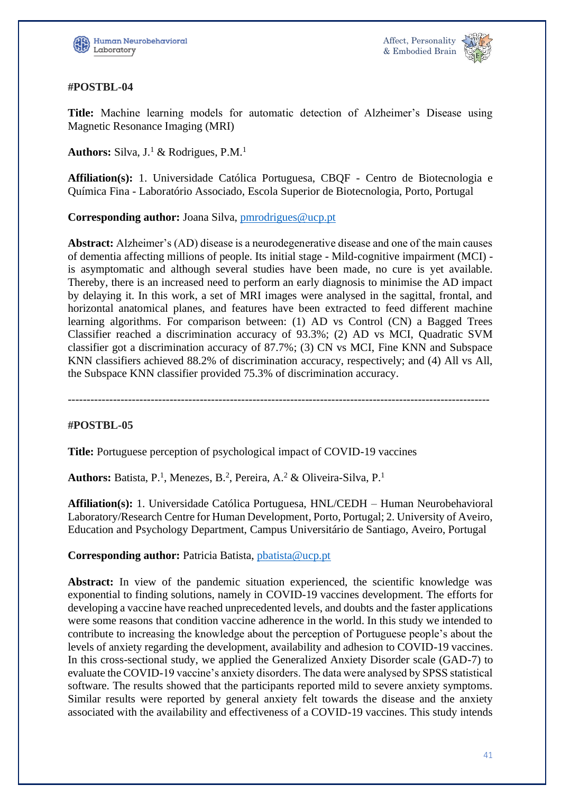





#### <span id="page-40-0"></span>**#POSTBL-04**

**Title:** Machine learning models for automatic detection of Alzheimer's Disease using Magnetic Resonance Imaging (MRI)

Authors: Silva, J.<sup>1</sup> & Rodrigues, P.M.<sup>1</sup>

**Affiliation(s):** 1. Universidade Católica Portuguesa, CBQF - Centro de Biotecnologia e Química Fina - Laboratório Associado, Escola Superior de Biotecnologia, Porto, Portugal

**Corresponding author:** Joana Silva, [pmrodrigues@ucp.pt](about:blank)

**Abstract:** Alzheimer's (AD) disease is a neurodegenerative disease and one of the main causes of dementia affecting millions of people. Its initial stage - Mild-cognitive impairment (MCI) is asymptomatic and although several studies have been made, no cure is yet available. Thereby, there is an increased need to perform an early diagnosis to minimise the AD impact by delaying it. In this work, a set of MRI images were analysed in the sagittal, frontal, and horizontal anatomical planes, and features have been extracted to feed different machine learning algorithms. For comparison between: (1) AD vs Control (CN) a Bagged Trees Classifier reached a discrimination accuracy of 93.3%; (2) AD vs MCI, Quadratic SVM classifier got a discrimination accuracy of 87.7%; (3) CN vs MCI, Fine KNN and Subspace KNN classifiers achieved 88.2% of discrimination accuracy, respectively; and (4) All vs All, the Subspace KNN classifier provided 75.3% of discrimination accuracy.

----------------------------------------------------------------------------------------------------------------

### <span id="page-40-1"></span>**#POSTBL-05**

**Title:** Portuguese perception of psychological impact of COVID-19 vaccines

Authors: Batista, P.<sup>1</sup>, Menezes, B.<sup>2</sup>, Pereira, A.<sup>2</sup> & Oliveira-Silva, P.<sup>1</sup>

**Affiliation(s):** 1. Universidade Católica Portuguesa, HNL/CEDH – Human Neurobehavioral Laboratory/Research Centre for Human Development, Porto, Portugal; 2. University of Aveiro, Education and Psychology Department, Campus Universitário de Santiago, Aveiro, Portugal

**Corresponding author:** Patricia Batista, [pbatista@ucp.pt](about:blank)

**Abstract:** In view of the pandemic situation experienced, the scientific knowledge was exponential to finding solutions, namely in COVID-19 vaccines development. The efforts for developing a vaccine have reached unprecedented levels, and doubts and the faster applications were some reasons that condition vaccine adherence in the world. In this study we intended to contribute to increasing the knowledge about the perception of Portuguese people's about the levels of anxiety regarding the development, availability and adhesion to COVID-19 vaccines. In this cross-sectional study, we applied the Generalized Anxiety Disorder scale (GAD-7) to evaluate the COVID-19 vaccine's anxiety disorders. The data were analysed by SPSS statistical software. The results showed that the participants reported mild to severe anxiety symptoms. Similar results were reported by general anxiety felt towards the disease and the anxiety associated with the availability and effectiveness of a COVID-19 vaccines. This study intends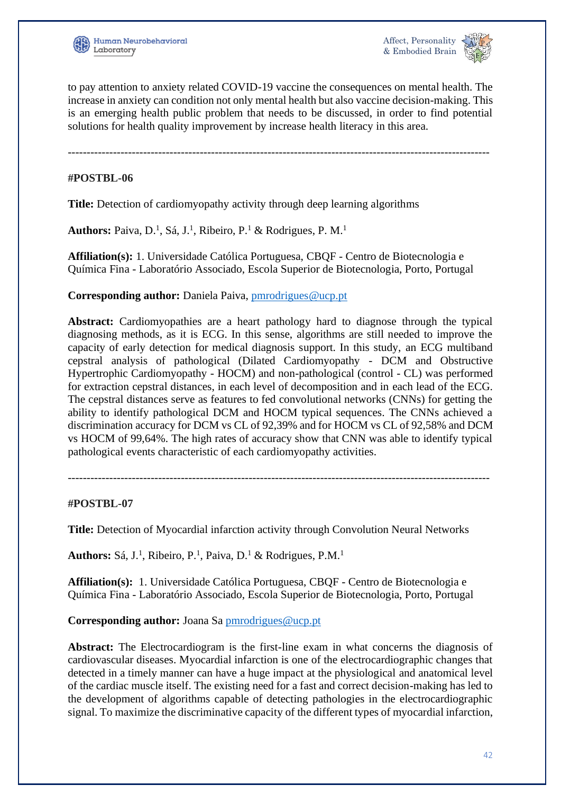



to pay attention to anxiety related COVID-19 vaccine the consequences on mental health. The increase in anxiety can condition not only mental health but also vaccine decision-making. This is an emerging health public problem that needs to be discussed, in order to find potential solutions for health quality improvement by increase health literacy in this area.

----------------------------------------------------------------------------------------------------------------

#### <span id="page-41-0"></span>**#POSTBL-06**

**Title:** Detection of cardiomyopathy activity through deep learning algorithms

Authors: Paiva, D.<sup>1</sup>, Sá, J.<sup>1</sup>, Ribeiro, P.<sup>1</sup> & Rodrigues, P. M.<sup>1</sup>

**Affiliation(s):** 1. Universidade Católica Portuguesa, CBQF - Centro de Biotecnologia e Química Fina - Laboratório Associado, Escola Superior de Biotecnologia, Porto, Portugal

**Corresponding author:** Daniela Paiva, [pmrodrigues@ucp.pt](about:blank)

Abstract: Cardiomyopathies are a heart pathology hard to diagnose through the typical diagnosing methods, as it is ECG. In this sense, algorithms are still needed to improve the capacity of early detection for medical diagnosis support. In this study, an ECG multiband cepstral analysis of pathological (Dilated Cardiomyopathy - DCM and Obstructive Hypertrophic Cardiomyopathy - HOCM) and non-pathological (control - CL) was performed for extraction cepstral distances, in each level of decomposition and in each lead of the ECG. The cepstral distances serve as features to fed convolutional networks (CNNs) for getting the ability to identify pathological DCM and HOCM typical sequences. The CNNs achieved a discrimination accuracy for DCM vs CL of 92,39% and for HOCM vs CL of 92,58% and DCM vs HOCM of 99,64%. The high rates of accuracy show that CNN was able to identify typical pathological events characteristic of each cardiomyopathy activities.

**#POSTBL-07**

**Title:** Detection of Myocardial infarction activity through Convolution Neural Networks

<span id="page-41-1"></span>----------------------------------------------------------------------------------------------------------------

Authors: Sá, J.<sup>1</sup>, Ribeiro, P.<sup>1</sup>, Paiva, D.<sup>1</sup> & Rodrigues, P.M.<sup>1</sup>

**Affiliation(s):** 1. Universidade Católica Portuguesa, CBQF - Centro de Biotecnologia e Química Fina - Laboratório Associado, Escola Superior de Biotecnologia, Porto, Portugal

**Corresponding author:** Joana Sa [pmrodrigues@ucp.pt](about:blank)

**Abstract:** The Electrocardiogram is the first-line exam in what concerns the diagnosis of cardiovascular diseases. Myocardial infarction is one of the electrocardiographic changes that detected in a timely manner can have a huge impact at the physiological and anatomical level of the cardiac muscle itself. The existing need for a fast and correct decision-making has led to the development of algorithms capable of detecting pathologies in the electrocardiographic signal. To maximize the discriminative capacity of the different types of myocardial infarction,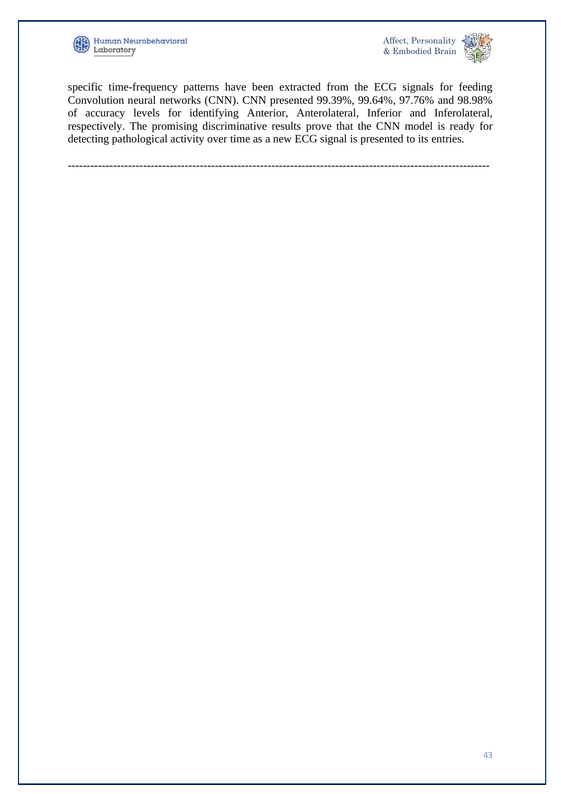



specific time-frequency patterns have been extracted from the ECG signals for feeding Convolution neural networks (CNN). CNN presented 99.39%, 99.64%, 97.76% and 98.98% of accuracy levels for identifying Anterior, Anterolateral, Inferior and Inferolateral, respectively. The promising discriminative results prove that the CNN model is ready for detecting pathological activity over time as a new ECG signal is presented to its entries.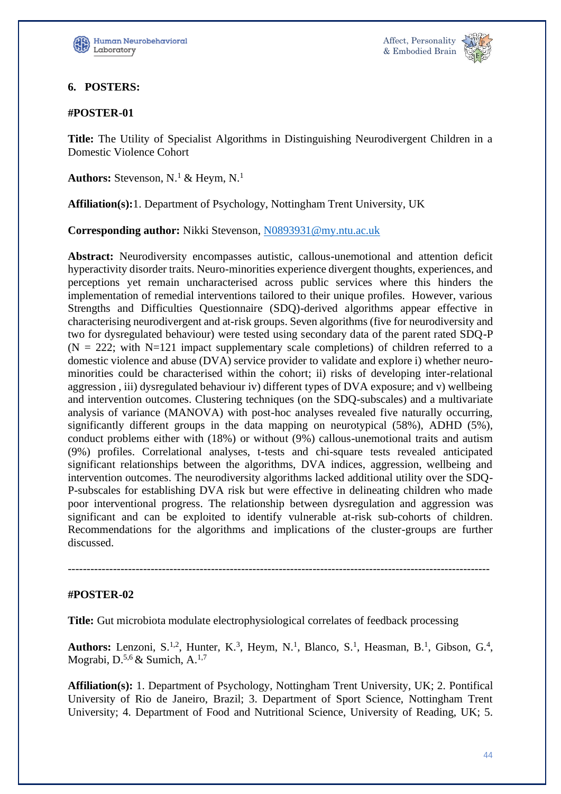



#### **6. POSTERS:**

#### <span id="page-43-0"></span>**#POSTER-01**

**Title:** The Utility of Specialist Algorithms in Distinguishing Neurodivergent Children in a Domestic Violence Cohort

Authors: Stevenson, N.<sup>1</sup> & Heym, N.<sup>1</sup>

**Affiliation(s):**1. Department of Psychology, Nottingham Trent University, UK

**Corresponding author:** Nikki Stevenson, [N0893931@my.ntu.ac.uk](about:blank)

**Abstract:** Neurodiversity encompasses autistic, callous-unemotional and attention deficit hyperactivity disorder traits. Neuro-minorities experience divergent thoughts, experiences, and perceptions yet remain uncharacterised across public services where this hinders the implementation of remedial interventions tailored to their unique profiles. However, various Strengths and Difficulties Questionnaire (SDQ)-derived algorithms appear effective in characterising neurodivergent and at-risk groups. Seven algorithms (five for neurodiversity and two for dysregulated behaviour) were tested using secondary data of the parent rated SDQ-P  $(N = 222$ ; with N=121 impact supplementary scale completions) of children referred to a domestic violence and abuse (DVA) service provider to validate and explore i) whether neurominorities could be characterised within the cohort; ii) risks of developing inter-relational aggression , iii) dysregulated behaviour iv) different types of DVA exposure; and v) wellbeing and intervention outcomes. Clustering techniques (on the SDQ-subscales) and a multivariate analysis of variance (MANOVA) with post-hoc analyses revealed five naturally occurring, significantly different groups in the data mapping on neurotypical (58%), ADHD (5%), conduct problems either with (18%) or without (9%) callous-unemotional traits and autism (9%) profiles. Correlational analyses, t-tests and chi-square tests revealed anticipated significant relationships between the algorithms, DVA indices, aggression, wellbeing and intervention outcomes. The neurodiversity algorithms lacked additional utility over the SDQ-P-subscales for establishing DVA risk but were effective in delineating children who made poor interventional progress. The relationship between dysregulation and aggression was significant and can be exploited to identify vulnerable at-risk sub-cohorts of children. Recommendations for the algorithms and implications of the cluster-groups are further discussed.

#### <span id="page-43-1"></span>**#POSTER-02**

**Title:** Gut microbiota modulate electrophysiological correlates of feedback processing

Authors: Lenzoni, S.<sup>1,2</sup>, Hunter, K.<sup>3</sup>, Heym, N.<sup>1</sup>, Blanco, S.<sup>1</sup>, Heasman, B.<sup>1</sup>, Gibson, G.<sup>4</sup>, Mograbi, D.<sup>5,6</sup> & Sumich, A.<sup>1,7</sup>

----------------------------------------------------------------------------------------------------------------

**Affiliation(s):** 1. Department of Psychology, Nottingham Trent University, UK; 2. Pontifical University of Rio de Janeiro, Brazil; 3. Department of Sport Science, Nottingham Trent University; 4. Department of Food and Nutritional Science, University of Reading, UK; 5.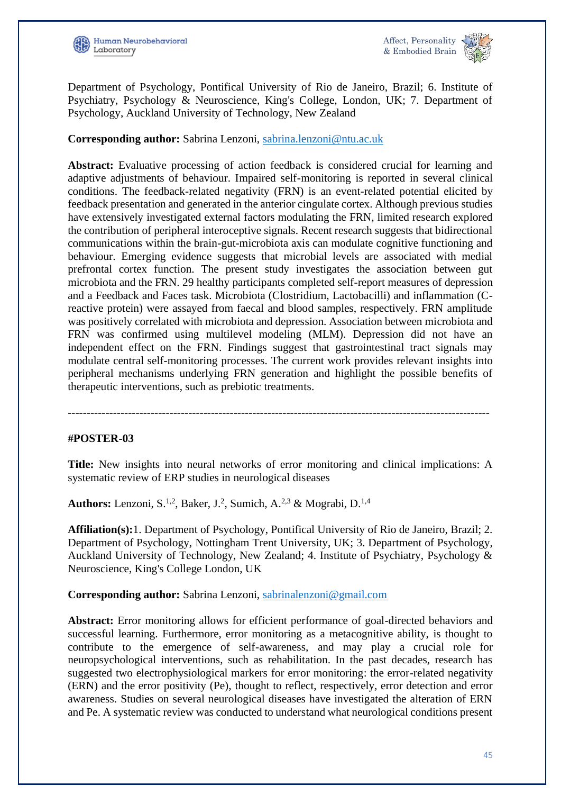





Department of Psychology, Pontifical University of Rio de Janeiro, Brazil; 6. Institute of Psychiatry, Psychology & Neuroscience, King's College, London, UK; 7. Department of Psychology, Auckland University of Technology, New Zealand

#### **Corresponding author:** Sabrina Lenzoni, [sabrina.lenzoni@ntu.ac.uk](about:blank)

**Abstract:** Evaluative processing of action feedback is considered crucial for learning and adaptive adjustments of behaviour. Impaired self-monitoring is reported in several clinical conditions. The feedback-related negativity (FRN) is an event-related potential elicited by feedback presentation and generated in the anterior cingulate cortex. Although previous studies have extensively investigated external factors modulating the FRN, limited research explored the contribution of peripheral interoceptive signals. Recent research suggests that bidirectional communications within the brain-gut-microbiota axis can modulate cognitive functioning and behaviour. Emerging evidence suggests that microbial levels are associated with medial prefrontal cortex function. The present study investigates the association between gut microbiota and the FRN. 29 healthy participants completed self-report measures of depression and a Feedback and Faces task. Microbiota (Clostridium, Lactobacilli) and inflammation (Creactive protein) were assayed from faecal and blood samples, respectively. FRN amplitude was positively correlated with microbiota and depression. Association between microbiota and FRN was confirmed using multilevel modeling (MLM). Depression did not have an independent effect on the FRN. Findings suggest that gastrointestinal tract signals may modulate central self-monitoring processes. The current work provides relevant insights into peripheral mechanisms underlying FRN generation and highlight the possible benefits of therapeutic interventions, such as prebiotic treatments.

#### <span id="page-44-0"></span>**#POSTER-03**

**Title:** New insights into neural networks of error monitoring and clinical implications: A systematic review of ERP studies in neurological diseases

----------------------------------------------------------------------------------------------------------------

Authors: Lenzoni, S.<sup>1,2</sup>, Baker, J.<sup>2</sup>, Sumich, A.<sup>2,3</sup> & Mograbi, D.<sup>1,4</sup>

**Affiliation(s):**1. Department of Psychology, Pontifical University of Rio de Janeiro, Brazil; 2. Department of Psychology, Nottingham Trent University, UK; 3. Department of Psychology, Auckland University of Technology, New Zealand; 4. Institute of Psychiatry, Psychology & Neuroscience, King's College London, UK

**Corresponding author:** Sabrina Lenzoni, [sabrinalenzoni@gmail.com](about:blank)

**Abstract:** Error monitoring allows for efficient performance of goal-directed behaviors and successful learning. Furthermore, error monitoring as a metacognitive ability, is thought to contribute to the emergence of self-awareness, and may play a crucial role for neuropsychological interventions, such as rehabilitation. In the past decades, research has suggested two electrophysiological markers for error monitoring: the error-related negativity (ERN) and the error positivity (Pe), thought to reflect, respectively, error detection and error awareness. Studies on several neurological diseases have investigated the alteration of ERN and Pe. A systematic review was conducted to understand what neurological conditions present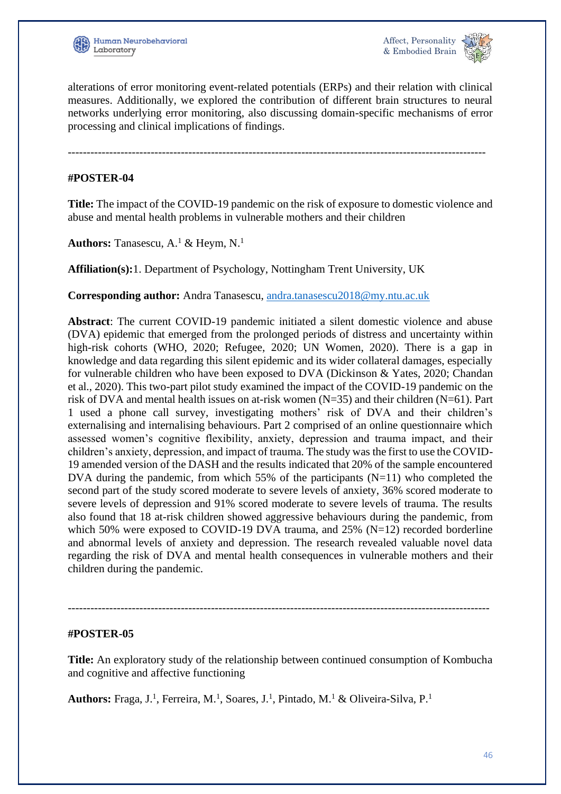



alterations of error monitoring event-related potentials (ERPs) and their relation with clinical measures. Additionally, we explored the contribution of different brain structures to neural networks underlying error monitoring, also discussing domain-specific mechanisms of error processing and clinical implications of findings.

<span id="page-45-0"></span>---------------------------------------------------------------------------------------------------------------

#### **#POSTER-04**

**Title:** The impact of the COVID-19 pandemic on the risk of exposure to domestic violence and abuse and mental health problems in vulnerable mothers and their children

Authors: Tanasescu, A.<sup>1</sup> & Heym, N.<sup>1</sup>

**Affiliation(s):**1. Department of Psychology, Nottingham Trent University, UK

**Corresponding author:** Andra Tanasescu, [andra.tanasescu2018@my.ntu.ac.uk](about:blank)

**Abstract**: The current COVID-19 pandemic initiated a silent domestic violence and abuse (DVA) epidemic that emerged from the prolonged periods of distress and uncertainty within high-risk cohorts (WHO, 2020; Refugee, 2020; UN Women, 2020). There is a gap in knowledge and data regarding this silent epidemic and its wider collateral damages, especially for vulnerable children who have been exposed to DVA (Dickinson & Yates, 2020; Chandan et al., 2020). This two-part pilot study examined the impact of the COVID-19 pandemic on the risk of DVA and mental health issues on at-risk women (N=35) and their children (N=61). Part 1 used a phone call survey, investigating mothers' risk of DVA and their children's externalising and internalising behaviours. Part 2 comprised of an online questionnaire which assessed women's cognitive flexibility, anxiety, depression and trauma impact, and their children's anxiety, depression, and impact of trauma. The study was the first to use the COVID-19 amended version of the DASH and the results indicated that 20% of the sample encountered DVA during the pandemic, from which  $55\%$  of the participants (N=11) who completed the second part of the study scored moderate to severe levels of anxiety, 36% scored moderate to severe levels of depression and 91% scored moderate to severe levels of trauma. The results also found that 18 at-risk children showed aggressive behaviours during the pandemic, from which 50% were exposed to COVID-19 DVA trauma, and 25% (N=12) recorded borderline and abnormal levels of anxiety and depression. The research revealed valuable novel data regarding the risk of DVA and mental health consequences in vulnerable mothers and their children during the pandemic.

#### **#POSTER-05**

**Title:** An exploratory study of the relationship between continued consumption of Kombucha and cognitive and affective functioning

<span id="page-45-1"></span>----------------------------------------------------------------------------------------------------------------

Authors: Fraga, J.<sup>1</sup>, Ferreira, M.<sup>1</sup>, Soares, J.<sup>1</sup>, Pintado, M.<sup>1</sup> & Oliveira-Silva, P.<sup>1</sup>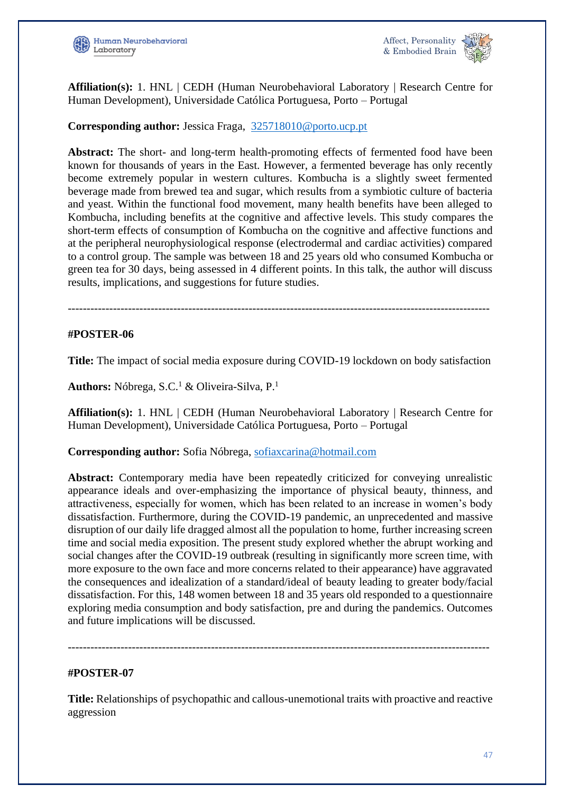

**Affiliation(s):** 1. HNL | CEDH (Human Neurobehavioral Laboratory | Research Centre for Human Development), Universidade Católica Portuguesa, Porto – Portugal

# **Corresponding author:** Jessica Fraga, [325718010@porto.ucp.pt](about:blank)

**Abstract:** The short- and long-term health-promoting effects of fermented food have been known for thousands of years in the East. However, a fermented beverage has only recently become extremely popular in western cultures. Kombucha is a slightly sweet fermented beverage made from brewed tea and sugar, which results from a symbiotic culture of bacteria and yeast. Within the functional food movement, many health benefits have been alleged to Kombucha, including benefits at the cognitive and affective levels. This study compares the short-term effects of consumption of Kombucha on the cognitive and affective functions and at the peripheral neurophysiological response (electrodermal and cardiac activities) compared to a control group. The sample was between 18 and 25 years old who consumed Kombucha or green tea for 30 days, being assessed in 4 different points. In this talk, the author will discuss results, implications, and suggestions for future studies.

----------------------------------------------------------------------------------------------------------------

#### <span id="page-46-0"></span>**#POSTER-06**

**Title:** The impact of social media exposure during COVID-19 lockdown on body satisfaction

**Authors:** Nóbrega, S.C. <sup>1</sup> & Oliveira-Silva, P.<sup>1</sup>

**Affiliation(s):** 1. HNL | CEDH (Human Neurobehavioral Laboratory | Research Centre for Human Development), Universidade Católica Portuguesa, Porto – Portugal

**Corresponding author:** Sofia Nóbrega, [sofiaxcarina@hotmail.com](about:blank)

**Abstract:** Contemporary media have been repeatedly criticized for conveying unrealistic appearance ideals and over-emphasizing the importance of physical beauty, thinness, and attractiveness, especially for women, which has been related to an increase in women's body dissatisfaction. Furthermore, during the COVID-19 pandemic, an unprecedented and massive disruption of our daily life dragged almost all the population to home, further increasing screen time and social media exposition. The present study explored whether the abrupt working and social changes after the COVID-19 outbreak (resulting in significantly more screen time, with more exposure to the own face and more concerns related to their appearance) have aggravated the consequences and idealization of a standard/ideal of beauty leading to greater body/facial dissatisfaction. For this, 148 women between 18 and 35 years old responded to a questionnaire exploring media consumption and body satisfaction, pre and during the pandemics. Outcomes and future implications will be discussed.

----------------------------------------------------------------------------------------------------------------

#### <span id="page-46-1"></span>**#POSTER-07**

**Title:** Relationships of psychopathic and callous-unemotional traits with proactive and reactive aggression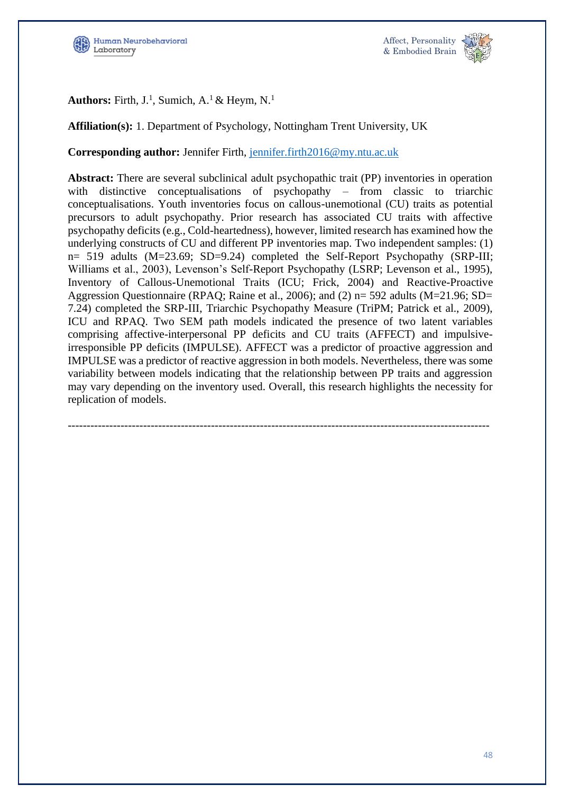





Authors: Firth, J.<sup>1</sup>, Sumich, A.<sup>1</sup> & Heym, N.<sup>1</sup>

# **Affiliation(s):** 1. Department of Psychology, Nottingham Trent University, UK

**Corresponding author:** Jennifer Firth, [jennifer.firth2016@my.ntu.ac.uk](mailto:jennifer.firth2016@my.ntu.ac.uk)

**Abstract:** There are several subclinical adult psychopathic trait (PP) inventories in operation with distinctive conceptualisations of psychopathy – from classic to triarchic conceptualisations. Youth inventories focus on callous-unemotional (CU) traits as potential precursors to adult psychopathy. Prior research has associated CU traits with affective psychopathy deficits (e.g., Cold-heartedness), however, limited research has examined how the underlying constructs of CU and different PP inventories map. Two independent samples: (1) n= 519 adults (M=23.69; SD=9.24) completed the Self-Report Psychopathy (SRP-III; Williams et al., 2003), Levenson's Self-Report Psychopathy (LSRP; Levenson et al., 1995), Inventory of Callous-Unemotional Traits (ICU; Frick, 2004) and Reactive-Proactive Aggression Questionnaire (RPAQ; Raine et al., 2006); and (2) n= 592 adults (M=21.96; SD= 7.24) completed the SRP-III, Triarchic Psychopathy Measure (TriPM; Patrick et al., 2009), ICU and RPAQ. Two SEM path models indicated the presence of two latent variables comprising affective-interpersonal PP deficits and CU traits (AFFECT) and impulsiveirresponsible PP deficits (IMPULSE). AFFECT was a predictor of proactive aggression and IMPULSE was a predictor of reactive aggression in both models. Nevertheless, there was some variability between models indicating that the relationship between PP traits and aggression may vary depending on the inventory used. Overall, this research highlights the necessity for replication of models.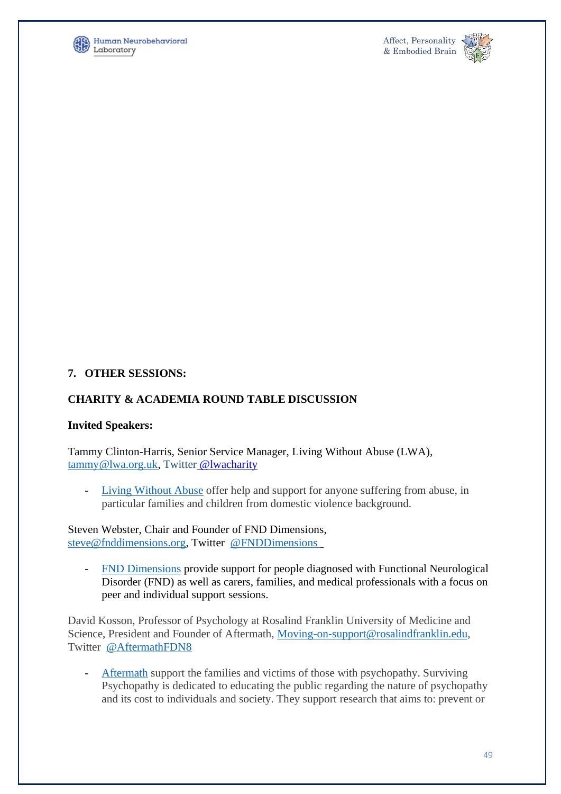



# **7. OTHER SESSIONS:**

# **CHARITY & ACADEMIA ROUND TABLE DISCUSSION**

#### **Invited Speakers:**

Tammy Clinton-Harris, Senior Service Manager, Living Without Abuse (LWA), [tammy@lwa.org.uk,](about:blank) Twitter [@lwacharity](about:blank)

- [Living Without Abuse](about:blank) offer help and support for anyone suffering from abuse, in particular families and children from domestic violence background.

Steven Webster, Chair and Founder of FND Dimensions, [steve@fnddimensions.org,](about:blank) Twitter [@FNDDimensions](about:blank)

- [FND Dimensions](about:blank) provide support for people diagnosed with Functional Neurological Disorder (FND) as well as carers, families, and medical professionals with a focus on peer and individual support sessions.

David Kosson, Professor of Psychology at Rosalind Franklin University of Medicine and Science, President and Founder of Aftermath, [Moving-on-support@rosalindfranklin.edu,](about:blank) Twitter [@AftermathFDN8](about:blank)

- [Aftermath](about:blank) support the families and victims of those with psychopathy. Surviving Psychopathy is dedicated to educating the public regarding the nature of psychopathy and its cost to individuals and society. They support research that aims to: prevent or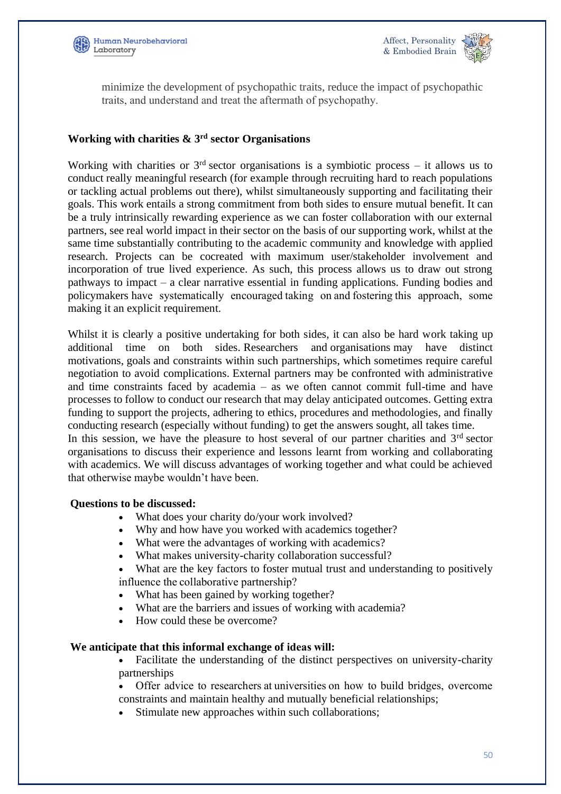



minimize the development of psychopathic traits, reduce the impact of psychopathic traits, and understand and treat the aftermath of psychopathy. 

#### **Working with charities & 3rd sector Organisations**

Working with charities or  $3<sup>rd</sup>$  sector organisations is a symbiotic process – it allows us to conduct really meaningful research (for example through recruiting hard to reach populations or tackling actual problems out there), whilst simultaneously supporting and facilitating their goals. This work entails a strong commitment from both sides to ensure mutual benefit. It can be a truly intrinsically rewarding experience as we can foster collaboration with our external partners, see real world impact in their sector on the basis of our supporting work, whilst at the same time substantially contributing to the academic community and knowledge with applied research. Projects can be cocreated with maximum user/stakeholder involvement and incorporation of true lived experience. As such, this process allows us to draw out strong pathways to impact – a clear narrative essential in funding applications. Funding bodies and policymakers have systematically encouraged taking on and fostering this approach, some making it an explicit requirement.

Whilst it is clearly a positive undertaking for both sides, it can also be hard work taking up additional time on both sides. Researchers and organisations may have distinct motivations, goals and constraints within such partnerships, which sometimes require careful negotiation to avoid complications. External partners may be confronted with administrative and time constraints faced by academia – as we often cannot commit full-time and have processes to follow to conduct our research that may delay anticipated outcomes. Getting extra funding to support the projects, adhering to ethics, procedures and methodologies, and finally conducting research (especially without funding) to get the answers sought, all takes time. In this session, we have the pleasure to host several of our partner charities and  $3<sup>rd</sup>$  sector organisations to discuss their experience and lessons learnt from working and collaborating with academics. We will discuss advantages of working together and what could be achieved that otherwise maybe wouldn't have been.

#### **Questions to be discussed:**

- What does your charity do/your work involved?
- Why and how have you worked with academics together?
- What were the advantages of working with academics?
- What makes university-charity collaboration successful?
- What are the key factors to foster mutual trust and understanding to positively influence the collaborative partnership?
- What has been gained by working together?
- What are the barriers and issues of working with academia?
- How could these be overcome?

#### **We anticipate that this informal exchange of ideas will:**

- Facilitate the understanding of the distinct perspectives on university-charity partnerships
- Offer advice to researchers at universities on how to build bridges, overcome constraints and maintain healthy and mutually beneficial relationships;
- Stimulate new approaches within such collaborations;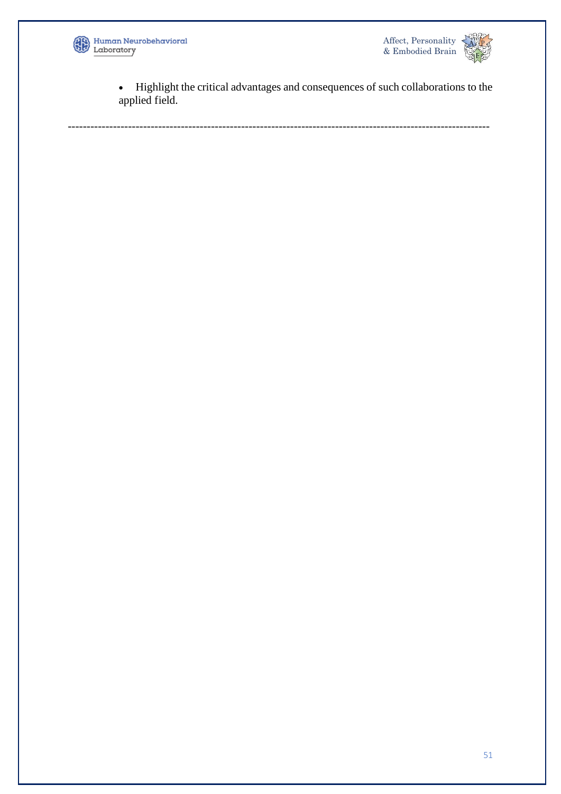



<span id="page-50-0"></span>• Highlight the critical advantages and consequences of such collaborations to the applied field.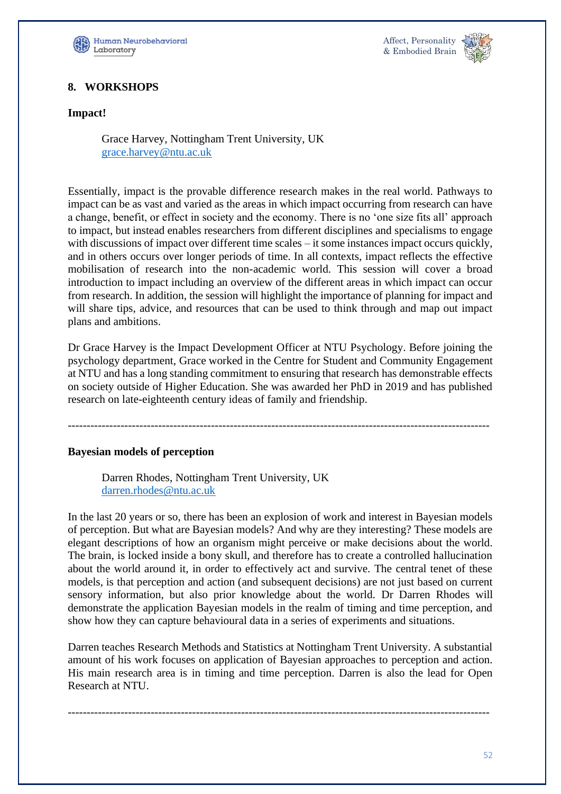



# **8. WORKSHOPS**

#### **Impact!**

Grace Harvey, Nottingham Trent University, UK [grace.harvey@ntu.ac.uk](about:blank)

Essentially, impact is the provable difference research makes in the real world. Pathways to impact can be as vast and varied as the areas in which impact occurring from research can have a change, benefit, or effect in society and the economy. There is no 'one size fits all' approach to impact, but instead enables researchers from different disciplines and specialisms to engage with discussions of impact over different time scales – it some instances impact occurs quickly, and in others occurs over longer periods of time. In all contexts, impact reflects the effective mobilisation of research into the non-academic world. This session will cover a broad introduction to impact including an overview of the different areas in which impact can occur from research. In addition, the session will highlight the importance of planning for impact and will share tips, advice, and resources that can be used to think through and map out impact plans and ambitions.

Dr Grace Harvey is the Impact Development Officer at NTU Psychology. Before joining the psychology department, Grace worked in the Centre for Student and Community Engagement at NTU and has a long standing commitment to ensuring that research has demonstrable effects on society outside of Higher Education. She was awarded her PhD in 2019 and has published research on late-eighteenth century ideas of family and friendship.

----------------------------------------------------------------------------------------------------------------

#### **Bayesian models of perception**

Darren Rhodes, Nottingham Trent University, UK [darren.rhodes@ntu.ac.uk](about:blank)

In the last 20 years or so, there has been an explosion of work and interest in Bayesian models of perception. But what are Bayesian models? And why are they interesting? These models are elegant descriptions of how an organism might perceive or make decisions about the world. The brain, is locked inside a bony skull, and therefore has to create a controlled hallucination about the world around it, in order to effectively act and survive. The central tenet of these models, is that perception and action (and subsequent decisions) are not just based on current sensory information, but also prior knowledge about the world. Dr Darren Rhodes will demonstrate the application Bayesian models in the realm of timing and time perception, and show how they can capture behavioural data in a series of experiments and situations.

Darren teaches Research Methods and Statistics at Nottingham Trent University. A substantial amount of his work focuses on application of Bayesian approaches to perception and action. His main research area is in timing and time perception. Darren is also the lead for Open Research at NTU.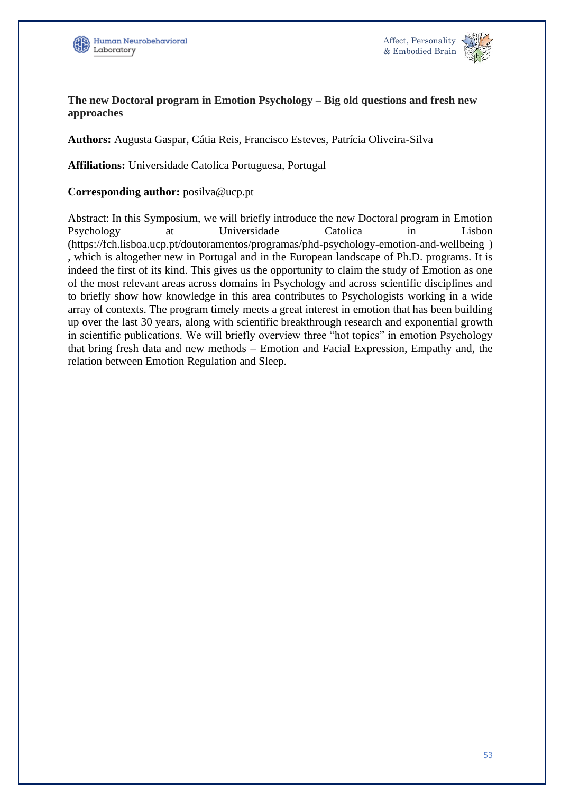





# **The new Doctoral program in Emotion Psychology – Big old questions and fresh new approaches**

**Authors:** Augusta Gaspar, Cátia Reis, Francisco Esteves, Patrícia Oliveira-Silva

**Affiliations:** Universidade Catolica Portuguesa, Portugal

# **Corresponding author:** posilva@ucp.pt

Abstract: In this Symposium, we will briefly introduce the new Doctoral program in Emotion Psychology at Universidade Catolica in Lisbon (https://fch.lisboa.ucp.pt/doutoramentos/programas/phd-psychology-emotion-and-wellbeing ) , which is altogether new in Portugal and in the European landscape of Ph.D. programs. It is indeed the first of its kind. This gives us the opportunity to claim the study of Emotion as one of the most relevant areas across domains in Psychology and across scientific disciplines and to briefly show how knowledge in this area contributes to Psychologists working in a wide array of contexts. The program timely meets a great interest in emotion that has been building up over the last 30 years, along with scientific breakthrough research and exponential growth in scientific publications. We will briefly overview three "hot topics" in emotion Psychology that bring fresh data and new methods – Emotion and Facial Expression, Empathy and, the relation between Emotion Regulation and Sleep.